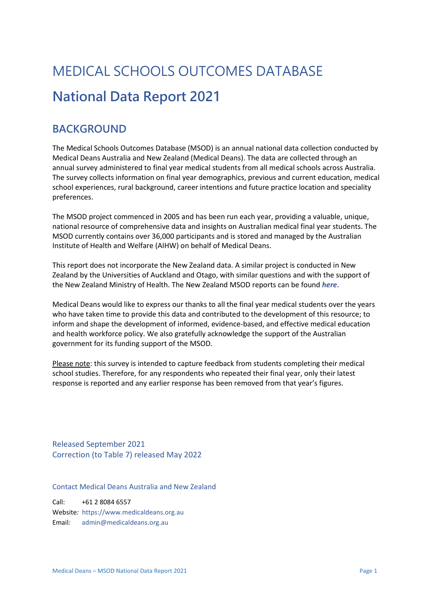# MEDICAL SCHOOLS OUTCOMES DATABASE **National Data Report 2021**

## **BACKGROUND**

The Medical Schools Outcomes Database (MSOD) is an annual national data collection conducted by Medical Deans Australia and New Zealand (Medical Deans). The data are collected through an annual survey administered to final year medical students from all medical schools across Australia. The survey collects information on final year demographics, previous and current education, medical school experiences, rural background, career intentions and future practice location and speciality preferences.

The MSOD project commenced in 2005 and has been run each year, providing a valuable, unique, national resource of comprehensive data and insights on Australian medical final year students. The MSOD currently contains over 36,000 participants and is stored and managed by the Australian Institute of Health and Welfare (AIHW) on behalf of Medical Deans.

This report does not incorporate the New Zealand data. A similar project is conducted in New Zealand by the Universities of Auckland and Otago, with similar questions and with the support of the New Zealand Ministry of Health. The New Zealand MSOD reports can be found *[here](https://www.otago.ac.nz/oms/education/mbchb/about/accountability/external/msod-project/index.html?utm_source=dynamic&utm_medium=redirection&utm_campaign=nzmsod&utm_term=&utm_content=)*.

Medical Deans would like to express our thanks to all the final year medical students over the years who have taken time to provide this data and contributed to the development of this resource; to inform and shape the development of informed, evidence-based, and effective medical education and health workforce policy. We also gratefully acknowledge the support of the Australian government for its funding support of the MSOD.

Please note: this survey is intended to capture feedback from students completing their medical school studies. Therefore, for any respondents who repeated their final year, only their latest response is reported and any earlier response has been removed from that year's figures.

Released September 2021 Correction (to Table 7) released May 2022

Contact Medical Deans Australia and New Zealand

Call: +61 2 8084 6557 Website*:* [https://www.medicaldeans.org.au](https://www.medicaldeans.org.au/) Email*:* [admin@medicaldeans.org.au](mailto:admin@medicaldeans.org.au)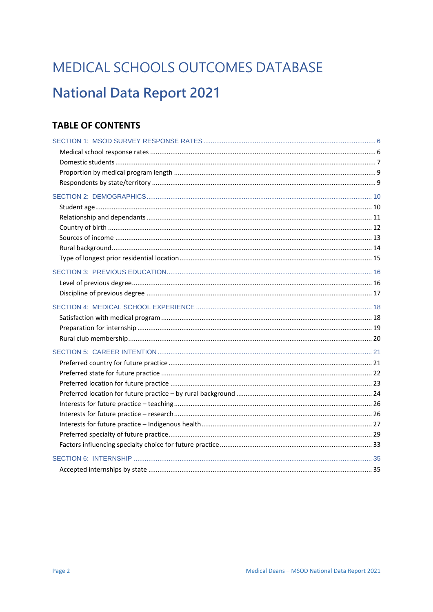# MEDICAL SCHOOLS OUTCOMES DATABASE **National Data Report 2021**

## **TABLE OF CONTENTS**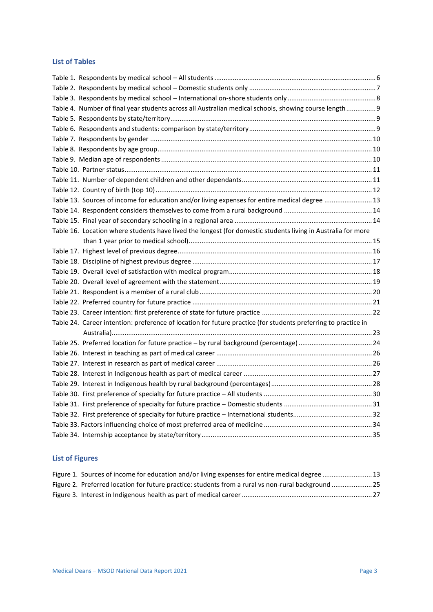### **List of Tables**

| Table 4. Number of final year students across all Australian medical schools, showing course length 9          |  |
|----------------------------------------------------------------------------------------------------------------|--|
|                                                                                                                |  |
|                                                                                                                |  |
|                                                                                                                |  |
|                                                                                                                |  |
|                                                                                                                |  |
|                                                                                                                |  |
|                                                                                                                |  |
|                                                                                                                |  |
| Table 13. Sources of income for education and/or living expenses for entire medical degree  13                 |  |
|                                                                                                                |  |
|                                                                                                                |  |
| Table 16. Location where students have lived the longest (for domestic students living in Australia for more   |  |
|                                                                                                                |  |
|                                                                                                                |  |
|                                                                                                                |  |
|                                                                                                                |  |
|                                                                                                                |  |
|                                                                                                                |  |
|                                                                                                                |  |
|                                                                                                                |  |
| Table 24. Career intention: preference of location for future practice (for students preferring to practice in |  |
|                                                                                                                |  |
|                                                                                                                |  |
|                                                                                                                |  |
|                                                                                                                |  |
|                                                                                                                |  |
|                                                                                                                |  |
|                                                                                                                |  |
|                                                                                                                |  |
|                                                                                                                |  |
|                                                                                                                |  |
|                                                                                                                |  |
|                                                                                                                |  |

## **List of Figures**

| Figure 1. Sources of income for education and/or living expenses for entire medical degree  13     |  |
|----------------------------------------------------------------------------------------------------|--|
| Figure 2. Preferred location for future practice: students from a rural vs non-rural background 25 |  |
|                                                                                                    |  |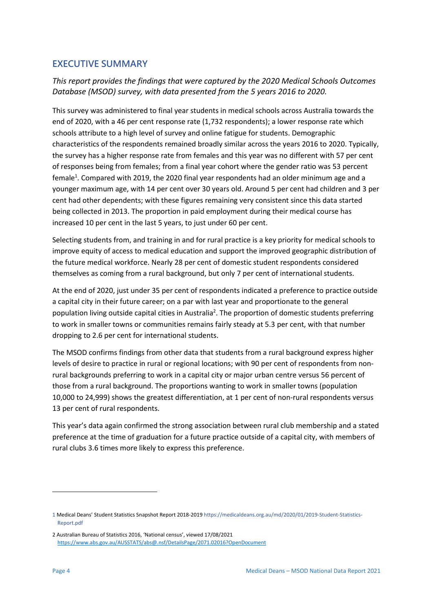### **EXECUTIVE SUMMARY**

*This report provides the findings that were captured by the 2020 Medical Schools Outcomes Database (MSOD) survey, with data presented from the 5 years 2016 to 2020.*

This survey was administered to final year students in medical schools across Australia towards the end of 2020, with a 46 per cent response rate (1,732 respondents); a lower response rate which schools attribute to a high level of survey and online fatigue for students. Demographic characteristics of the respondents remained broadly similar across the years 2016 to 2020. Typically, the survey has a higher response rate from females and this year was no different with 57 per cent of responses being from females; from a final year cohort where the gender ratio was 53 percent female<sup>1</sup>. Compared with 2019, the 2020 final year respondents had an older minimum age and a younger maximum age, with 14 per cent over 30 years old. Around 5 per cent had children and 3 per cent had other dependents; with these figures remaining very consistent since this data started being collected in 2013. The proportion in paid employment during their medical course has increased 10 per cent in the last 5 years, to just under 60 per cent.

Selecting students from, and training in and for rural practice is a key priority for medical schools to improve equity of access to medical education and support the improved geographic distribution of the future medical workforce. Nearly 28 per cent of domestic student respondents considered themselves as coming from a rural background, but only 7 per cent of international students.

At the end of 2020, just under 35 per cent of respondents indicated a preference to practice outside a capital city in their future career; on a par with last year and proportionate to the general population living outside capital cities in Australia<sup>2</sup>. The proportion of domestic students preferring to work in smaller towns or communities remains fairly steady at 5.3 per cent, with that number dropping to 2.6 per cent for international students.

The MSOD confirms findings from other data that students from a rural background express higher levels of desire to practice in rural or regional locations; with 90 per cent of respondents from nonrural backgrounds preferring to work in a capital city or major urban centre versus 56 percent of those from a rural background. The proportions wanting to work in smaller towns (population 10,000 to 24,999) shows the greatest differentiation, at 1 per cent of non-rural respondents versus 13 per cent of rural respondents.

This year's data again confirmed the strong association between rural club membership and a stated preference at the time of graduation for a future practice outside of a capital city, with members of rural clubs 3.6 times more likely to express this preference.

<sup>1</sup> Medical Deans' Student Statistics Snapshot Report 2018-201[9 https://medicaldeans.org.au/md/2020/01/2019-Student-Statistics-](https://medicaldeans.org.au/md/2020/01/2019-Student-Statistics-Report.pdf)[Report.pdf](https://medicaldeans.org.au/md/2020/01/2019-Student-Statistics-Report.pdf)

<sup>2</sup> Australian Bureau of Statistics 2016, 'National census', viewed 17/08/2021 <https://www.abs.gov.au/AUSSTATS/abs@.nsf/DetailsPage/2071.02016?OpenDocument>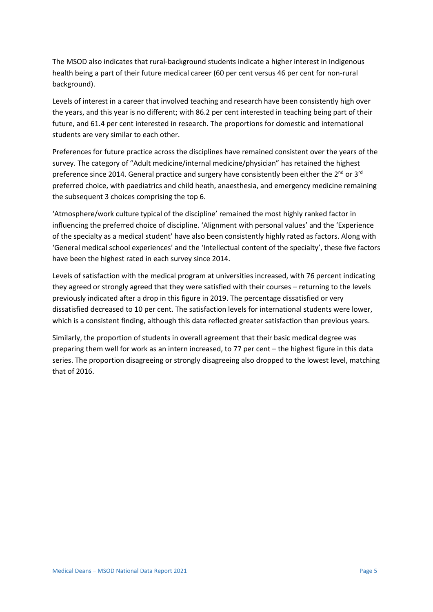The MSOD also indicates that rural-background students indicate a higher interest in Indigenous health being a part of their future medical career (60 per cent versus 46 per cent for non-rural background).

Levels of interest in a career that involved teaching and research have been consistently high over the years, and this year is no different; with 86.2 per cent interested in teaching being part of their future, and 61.4 per cent interested in research. The proportions for domestic and international students are very similar to each other.

Preferences for future practice across the disciplines have remained consistent over the years of the survey. The category of "Adult medicine/internal medicine/physician" has retained the highest preference since 2014. General practice and surgery have consistently been either the 2<sup>nd</sup> or 3<sup>rd</sup> preferred choice, with paediatrics and child heath, anaesthesia, and emergency medicine remaining the subsequent 3 choices comprising the top 6.

'Atmosphere/work culture typical of the discipline' remained the most highly ranked factor in influencing the preferred choice of discipline. 'Alignment with personal values' and the 'Experience of the specialty as a medical student' have also been consistently highly rated as factors. Along with 'General medical school experiences' and the 'Intellectual content of the specialty', these five factors have been the highest rated in each survey since 2014.

Levels of satisfaction with the medical program at universities increased, with 76 percent indicating they agreed or strongly agreed that they were satisfied with their courses – returning to the levels previously indicated after a drop in this figure in 2019. The percentage dissatisfied or very dissatisfied decreased to 10 per cent. The satisfaction levels for international students were lower, which is a consistent finding, although this data reflected greater satisfaction than previous years.

Similarly, the proportion of students in overall agreement that their basic medical degree was preparing them well for work as an intern increased, to 77 per cent – the highest figure in this data series. The proportion disagreeing or strongly disagreeing also dropped to the lowest level, matching that of 2016.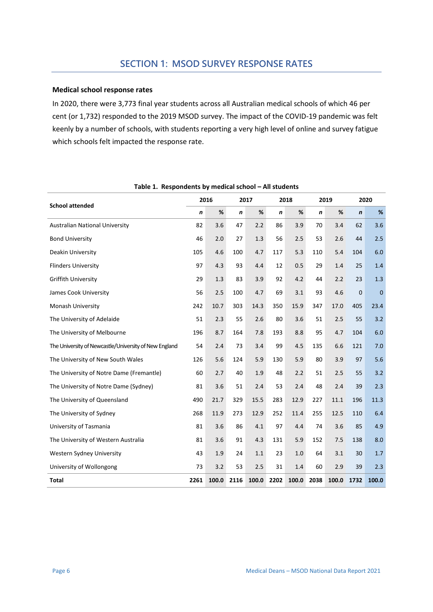#### **Medical school response rates**

In 2020, there were 3,773 final year students across all Australian medical schools of which 46 per cent (or 1,732) responded to the 2019 MSOD survey. The impact of the COVID-19 pandemic was felt keenly by a number of schools, with students reporting a very high level of online and survey fatigue which schools felt impacted the response rate.

<span id="page-6-0"></span>

|                                                       | 2016 |       | 2017 |       | 2018 |       | 2019             |       | 2020         |              |
|-------------------------------------------------------|------|-------|------|-------|------|-------|------------------|-------|--------------|--------------|
| <b>School attended</b>                                | n    | $\%$  | n    | $\%$  | n    | %     | $\boldsymbol{n}$ | $\%$  | n            | %            |
| <b>Australian National University</b>                 | 82   | 3.6   | 47   | 2.2   | 86   | 3.9   | 70               | 3.4   | 62           | 3.6          |
| <b>Bond University</b>                                | 46   | 2.0   | 27   | 1.3   | 56   | 2.5   | 53               | 2.6   | 44           | 2.5          |
| Deakin University                                     | 105  | 4.6   | 100  | 4.7   | 117  | 5.3   | 110              | 5.4   | 104          | 6.0          |
| <b>Flinders University</b>                            | 97   | 4.3   | 93   | 4.4   | 12   | 0.5   | 29               | 1.4   | 25           | 1.4          |
| <b>Griffith University</b>                            | 29   | 1.3   | 83   | 3.9   | 92   | 4.2   | 44               | 2.2   | 23           | 1.3          |
| James Cook University                                 | 56   | 2.5   | 100  | 4.7   | 69   | 3.1   | 93               | 4.6   | $\mathbf{0}$ | $\mathbf{0}$ |
| Monash University                                     | 242  | 10.7  | 303  | 14.3  | 350  | 15.9  | 347              | 17.0  | 405          | 23.4         |
| The University of Adelaide                            | 51   | 2.3   | 55   | 2.6   | 80   | 3.6   | 51               | 2.5   | 55           | 3.2          |
| The University of Melbourne                           | 196  | 8.7   | 164  | 7.8   | 193  | 8.8   | 95               | 4.7   | 104          | 6.0          |
| The University of Newcastle/University of New England | 54   | 2.4   | 73   | 3.4   | 99   | 4.5   | 135              | 6.6   | 121          | 7.0          |
| The University of New South Wales                     | 126  | 5.6   | 124  | 5.9   | 130  | 5.9   | 80               | 3.9   | 97           | 5.6          |
| The University of Notre Dame (Fremantle)              | 60   | 2.7   | 40   | 1.9   | 48   | 2.2   | 51               | 2.5   | 55           | 3.2          |
| The University of Notre Dame (Sydney)                 | 81   | 3.6   | 51   | 2.4   | 53   | 2.4   | 48               | 2.4   | 39           | 2.3          |
| The University of Queensland                          | 490  | 21.7  | 329  | 15.5  | 283  | 12.9  | 227              | 11.1  | 196          | 11.3         |
| The University of Sydney                              | 268  | 11.9  | 273  | 12.9  | 252  | 11.4  | 255              | 12.5  | 110          | 6.4          |
| University of Tasmania                                | 81   | 3.6   | 86   | 4.1   | 97   | 4.4   | 74               | 3.6   | 85           | 4.9          |
| The University of Western Australia                   | 81   | 3.6   | 91   | 4.3   | 131  | 5.9   | 152              | 7.5   | 138          | 8.0          |
| Western Sydney University                             | 43   | 1.9   | 24   | 1.1   | 23   | 1.0   | 64               | 3.1   | 30           | 1.7          |
| University of Wollongong                              | 73   | 3.2   | 53   | 2.5   | 31   | 1.4   | 60               | 2.9   | 39           | 2.3          |
| <b>Total</b>                                          | 2261 | 100.0 | 2116 | 100.0 | 2202 | 100.0 | 2038             | 100.0 | 1732         | 100.0        |

**Table 1. Respondents by medical school – All students**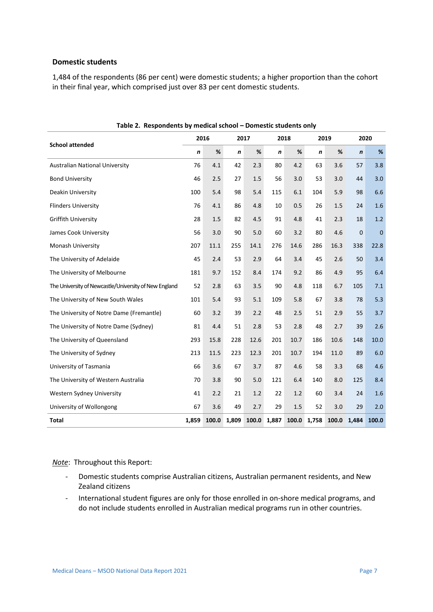#### **Domestic students**

1,484 of the respondents (86 per cent) were domestic students; a higher proportion than the cohort in their final year, which comprised just over 83 per cent domestic students.

<span id="page-7-0"></span>

|                                                       | 2016             |       | 2017             |       | 2018             |      | 2019             |       | 2020        |             |
|-------------------------------------------------------|------------------|-------|------------------|-------|------------------|------|------------------|-------|-------------|-------------|
| <b>School attended</b>                                | $\boldsymbol{n}$ | $\%$  | $\boldsymbol{n}$ | $\%$  | $\boldsymbol{n}$ | %    | $\boldsymbol{n}$ | %     | $\mathbf n$ | %           |
| <b>Australian National University</b>                 | 76               | 4.1   | 42               | 2.3   | 80               | 4.2  | 63               | 3.6   | 57          | 3.8         |
| <b>Bond University</b>                                | 46               | 2.5   | 27               | 1.5   | 56               | 3.0  | 53               | 3.0   | 44          | 3.0         |
| Deakin University                                     | 100              | 5.4   | 98               | 5.4   | 115              | 6.1  | 104              | 5.9   | 98          | 6.6         |
| <b>Flinders University</b>                            | 76               | 4.1   | 86               | 4.8   | 10               | 0.5  | 26               | 1.5   | 24          | 1.6         |
| <b>Griffith University</b>                            | 28               | 1.5   | 82               | 4.5   | 91               | 4.8  | 41               | 2.3   | 18          | 1.2         |
| James Cook University                                 | 56               | 3.0   | 90               | 5.0   | 60               | 3.2  | 80               | 4.6   | $\mathbf 0$ | $\mathbf 0$ |
| Monash University                                     | 207              | 11.1  | 255              | 14.1  | 276              | 14.6 | 286              | 16.3  | 338         | 22.8        |
| The University of Adelaide                            | 45               | 2.4   | 53               | 2.9   | 64               | 3.4  | 45               | 2.6   | 50          | 3.4         |
| The University of Melbourne                           | 181              | 9.7   | 152              | 8.4   | 174              | 9.2  | 86               | 4.9   | 95          | 6.4         |
| The University of Newcastle/University of New England | 52               | 2.8   | 63               | 3.5   | 90               | 4.8  | 118              | 6.7   | 105         | 7.1         |
| The University of New South Wales                     | 101              | 5.4   | 93               | 5.1   | 109              | 5.8  | 67               | 3.8   | 78          | 5.3         |
| The University of Notre Dame (Fremantle)              | 60               | 3.2   | 39               | 2.2   | 48               | 2.5  | 51               | 2.9   | 55          | 3.7         |
| The University of Notre Dame (Sydney)                 | 81               | 4.4   | 51               | 2.8   | 53               | 2.8  | 48               | 2.7   | 39          | 2.6         |
| The University of Queensland                          | 293              | 15.8  | 228              | 12.6  | 201              | 10.7 | 186              | 10.6  | 148         | 10.0        |
| The University of Sydney                              | 213              | 11.5  | 223              | 12.3  | 201              | 10.7 | 194              | 11.0  | 89          | 6.0         |
| University of Tasmania                                | 66               | 3.6   | 67               | 3.7   | 87               | 4.6  | 58               | 3.3   | 68          | 4.6         |
| The University of Western Australia                   | 70               | 3.8   | 90               | 5.0   | 121              | 6.4  | 140              | 8.0   | 125         | 8.4         |
| Western Sydney University                             | 41               | 2.2   | 21               | 1.2   | 22               | 1.2  | 60               | 3.4   | 24          | 1.6         |
| University of Wollongong                              | 67               | 3.6   | 49               | 2.7   | 29               | 1.5  | 52               | 3.0   | 29          | 2.0         |
| <b>Total</b>                                          | 1,859            | 100.0 | 1,809            | 100.0 | 1,887            |      | 100.0 1,758      | 100.0 | 1,484       | 100.0       |

**Table 2. Respondents by medical school – Domestic students only**

*Note*: Throughout this Report:

- Domestic students comprise Australian citizens, Australian permanent residents, and New Zealand citizens
- International student figures are only for those enrolled in on-shore medical programs, and do not include students enrolled in Australian medical programs run in other countries.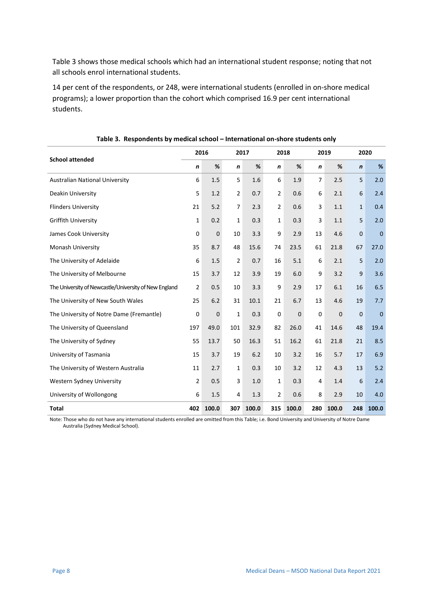Table 3 shows those medical schools which had an international student response; noting that not all schools enrol international students.

14 per cent of the respondents, or 248, were international students (enrolled in on-shore medical programs); a lower proportion than the cohort which comprised 16.9 per cent international students.

<span id="page-8-0"></span>

|                                                       | 2016 |             | 2017 |       |                | 2018        |                  | 2020<br>2019 |              |             |
|-------------------------------------------------------|------|-------------|------|-------|----------------|-------------|------------------|--------------|--------------|-------------|
| <b>School attended</b>                                | n    | $\%$        | n    | %     | n              | %           | $\boldsymbol{n}$ | %            | $\mathbf n$  | %           |
| <b>Australian National University</b>                 | 6    | 1.5         | 5    | 1.6   | 6              | 1.9         | $\overline{7}$   | 2.5          | 5            | 2.0         |
| Deakin University                                     | 5    | 1.2         | 2    | 0.7   | $\overline{2}$ | 0.6         | 6                | 2.1          | 6            | 2.4         |
| <b>Flinders University</b>                            | 21   | 5.2         | 7    | 2.3   | $\overline{2}$ | 0.6         | 3                | 1.1          | $\mathbf{1}$ | 0.4         |
| <b>Griffith University</b>                            | 1    | 0.2         | 1    | 0.3   | $\mathbf{1}$   | 0.3         | 3                | 1.1          | 5            | 2.0         |
| James Cook University                                 | 0    | $\mathbf 0$ | 10   | 3.3   | 9              | 2.9         | 13               | 4.6          | $\mathbf 0$  | $\mathbf 0$ |
| Monash University                                     | 35   | 8.7         | 48   | 15.6  | 74             | 23.5        | 61               | 21.8         | 67           | 27.0        |
| The University of Adelaide                            | 6    | 1.5         | 2    | 0.7   | 16             | 5.1         | 6                | 2.1          | 5            | 2.0         |
| The University of Melbourne                           | 15   | 3.7         | 12   | 3.9   | 19             | 6.0         | 9                | 3.2          | 9            | 3.6         |
| The University of Newcastle/University of New England | 2    | 0.5         | 10   | 3.3   | 9              | 2.9         | 17               | 6.1          | 16           | 6.5         |
| The University of New South Wales                     | 25   | 6.2         | 31   | 10.1  | 21             | 6.7         | 13               | 4.6          | 19           | 7.7         |
| The University of Notre Dame (Fremantle)              | 0    | $\mathbf 0$ | 1    | 0.3   | 0              | $\mathbf 0$ | 0                | $\mathbf 0$  | $\mathbf{0}$ | $\mathbf 0$ |
| The University of Queensland                          | 197  | 49.0        | 101  | 32.9  | 82             | 26.0        | 41               | 14.6         | 48           | 19.4        |
| The University of Sydney                              | 55   | 13.7        | 50   | 16.3  | 51             | 16.2        | 61               | 21.8         | 21           | 8.5         |
| University of Tasmania                                | 15   | 3.7         | 19   | 6.2   | 10             | 3.2         | 16               | 5.7          | 17           | 6.9         |
| The University of Western Australia                   | 11   | 2.7         | 1    | 0.3   | 10             | 3.2         | 12               | 4.3          | 13           | 5.2         |
| Western Sydney University                             | 2    | 0.5         | 3    | 1.0   | $\mathbf{1}$   | 0.3         | 4                | 1.4          | 6            | 2.4         |
| University of Wollongong                              | 6    | 1.5         | 4    | 1.3   | $\overline{2}$ | 0.6         | 8                | 2.9          | 10           | 4.0         |
| <b>Total</b>                                          | 402  | 100.0       | 307  | 100.0 | 315            | 100.0       | 280              | 100.0        | 248          | 100.0       |

#### **Table 3. Respondents by medical school – International on-shore students only**

Note: Those who do not have any international students enrolled are omitted from this Table; i.e. Bond University and University of Notre Dame Australia (Sydney Medical School).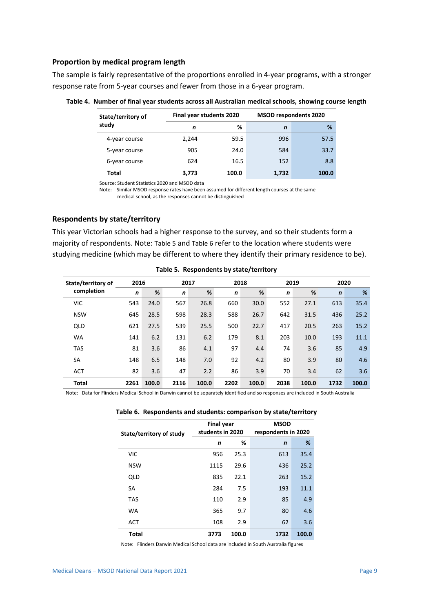#### **Proportion by medical program length**

The sample is fairly representative of the proportions enrolled in 4-year programs, with a stronger response rate from 5-year courses and fewer from those in a 6-year program.

| State/territory of | Final year students 2020 |       |       | <b>MSOD respondents 2020</b> |  |  |  |
|--------------------|--------------------------|-------|-------|------------------------------|--|--|--|
| study              | n                        | %     | n     | %                            |  |  |  |
| 4-year course      | 2.244                    | 59.5  | 996   | 57.5                         |  |  |  |
| 5-year course      | 905                      | 24.0  | 584   | 33.7                         |  |  |  |
| 6-year course      | 624                      | 16.5  | 152   | 8.8                          |  |  |  |
| Total              | 3.773                    | 100.0 | 1,732 | 100.0                        |  |  |  |

<span id="page-9-0"></span>**Table 4. Number of final year students across all Australian medical schools, showing course length**

Source: Student Statistics 2020 and MSOD data

Note: Similar MSOD response rates have been assumed for different length courses at the same medical school, as the responses cannot be distinguished

#### **Respondents by state/territory**

This year Victorian schools had a higher response to the survey, and so their students form a majority of respondents. Note: [Table 5](#page-9-1) and [Table 6](#page-9-2) refer to the location where students were studying medicine (which may be different to where they identify their primary residence to be).

<span id="page-9-1"></span>

| State/territory of | 2016 |       |      | 2018<br>2020<br>2017<br>2019 |             |       |              |       |             |       |
|--------------------|------|-------|------|------------------------------|-------------|-------|--------------|-------|-------------|-------|
| completion         | n    | %     | n    | %                            | $\mathbf n$ | %     | $\mathsf{n}$ | %     | $\mathbf n$ | %     |
| <b>VIC</b>         | 543  | 24.0  | 567  | 26.8                         | 660         | 30.0  | 552          | 27.1  | 613         | 35.4  |
| <b>NSW</b>         | 645  | 28.5  | 598  | 28.3                         | 588         | 26.7  | 642          | 31.5  | 436         | 25.2  |
| QLD                | 621  | 27.5  | 539  | 25.5                         | 500         | 22.7  | 417          | 20.5  | 263         | 15.2  |
| <b>WA</b>          | 141  | 6.2   | 131  | 6.2                          | 179         | 8.1   | 203          | 10.0  | 193         | 11.1  |
| <b>TAS</b>         | 81   | 3.6   | 86   | 4.1                          | 97          | 4.4   | 74           | 3.6   | 85          | 4.9   |
| <b>SA</b>          | 148  | 6.5   | 148  | 7.0                          | 92          | 4.2   | 80           | 3.9   | 80          | 4.6   |
| <b>ACT</b>         | 82   | 3.6   | 47   | 2.2                          | 86          | 3.9   | 70           | 3.4   | 62          | 3.6   |
| <b>Total</b>       | 2261 | 100.0 | 2116 | 100.0                        | 2202        | 100.0 | 2038         | 100.0 | 1732        | 100.0 |

**Table 5. Respondents by state/territory**

<span id="page-9-2"></span>Note: Data for Flinders Medical School in Darwin cannot be separately identified and so responses are included in South Australia

|  |  | Table 6. Respondents and students: comparison by state/territory |  |  |  |
|--|--|------------------------------------------------------------------|--|--|--|
|--|--|------------------------------------------------------------------|--|--|--|

| State/territory of study | <b>Final year</b><br>students in 2020 |       | <b>MSOD</b><br>respondents in 2020 |       |  |  |
|--------------------------|---------------------------------------|-------|------------------------------------|-------|--|--|
|                          | n                                     | %     | $\mathbf n$                        | %     |  |  |
| <b>VIC</b>               | 956                                   | 25.3  | 613                                | 35.4  |  |  |
| <b>NSW</b>               | 1115                                  | 29.6  | 436                                | 25.2  |  |  |
| QLD                      | 835                                   | 22.1  | 263                                | 15.2  |  |  |
| <b>SA</b>                | 284                                   | 7.5   | 193                                | 11.1  |  |  |
| <b>TAS</b>               | 110                                   | 2.9   | 85                                 | 4.9   |  |  |
| <b>WA</b>                | 365                                   | 9.7   | 80                                 | 4.6   |  |  |
| <b>ACT</b>               | 108                                   | 2.9   | 62                                 | 3.6   |  |  |
| <b>Total</b>             | 3773                                  | 100.0 | 1732                               | 100.0 |  |  |

Note: Flinders Darwin Medical School data are included in South Australia figures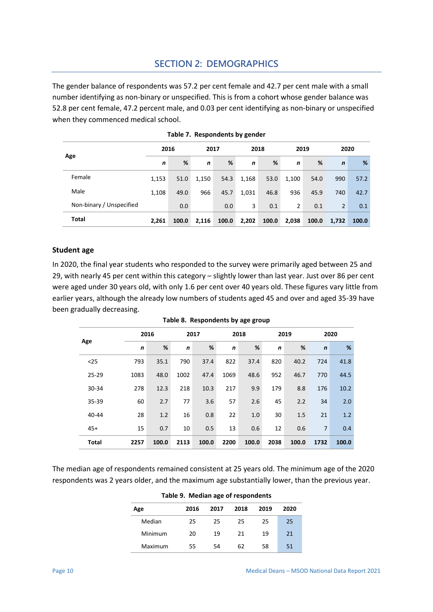## **SECTION 2: DEMOGRAPHICS**

The gender balance of respondents was 57.2 per cent female and 42.7 per cent male with a small number identifying as non-binary or unspecified. This is from a cohort whose gender balance was 52.8 per cent female, 47.2 percent male, and 0.03 per cent identifying as non-binary or unspecified when they commenced medical school.

<span id="page-10-0"></span>

|                          | 2016  |       |       | 2017  |             | 2018  |             | 2019  |                | 2020  |  |
|--------------------------|-------|-------|-------|-------|-------------|-------|-------------|-------|----------------|-------|--|
| Age                      | n     | %     | n     | %     | $\mathbf n$ | %     | $\mathbf n$ | %     | $\mathbf n$    | %     |  |
| Female                   | 1,153 | 51.0  | 1,150 | 54.3  | 1,168       | 53.0  | 1,100       | 54.0  | 990            | 57.2  |  |
| Male                     | 1,108 | 49.0  | 966   | 45.7  | 1,031       | 46.8  | 936         | 45.9  | 740            | 42.7  |  |
| Non-binary / Unspecified |       | 0.0   |       | 0.0   | 3           | 0.1   | 2           | 0.1   | $\overline{2}$ | 0.1   |  |
| Total                    | 2,261 | 100.0 | 2,116 | 100.0 | 2,202       | 100.0 | 2,038       | 100.0 | 1,732          | 100.0 |  |

|  | Table 7. Respondents by gender |  |  |
|--|--------------------------------|--|--|
|--|--------------------------------|--|--|

#### **Student age**

In 2020, the final year students who responded to the survey were primarily aged between 25 and 29, with nearly 45 per cent within this category – slightly lower than last year. Just over 86 per cent were aged under 30 years old, with only 1.6 per cent over 40 years old. These figures vary little from earlier years, although the already low numbers of students aged 45 and over and aged 35-39 have been gradually decreasing.

<span id="page-10-1"></span>

|              |              | 2016  |             | 2017  |             | 2018  |              | 2019  | 2020           |       |  |
|--------------|--------------|-------|-------------|-------|-------------|-------|--------------|-------|----------------|-------|--|
| Age          | $\mathsf{n}$ | %     | $\mathbf n$ | %     | $\mathbf n$ | %     | $\mathsf{n}$ | %     | $\mathbf n$    | %     |  |
| $25$         | 793          | 35.1  | 790         | 37.4  | 822         | 37.4  | 820          | 40.2  | 724            | 41.8  |  |
| $25 - 29$    | 1083         | 48.0  | 1002        | 47.4  | 1069        | 48.6  | 952          | 46.7  | 770            | 44.5  |  |
| 30-34        | 278          | 12.3  | 218         | 10.3  | 217         | 9.9   | 179          | 8.8   | 176            | 10.2  |  |
| 35-39        | 60           | 2.7   | 77          | 3.6   | 57          | 2.6   | 45           | 2.2   | 34             | 2.0   |  |
| 40-44        | 28           | 1.2   | 16          | 0.8   | 22          | 1.0   | 30           | 1.5   | 21             | 1.2   |  |
| $45+$        | 15           | 0.7   | 10          | 0.5   | 13          | 0.6   | 12           | 0.6   | $\overline{7}$ | 0.4   |  |
| <b>Total</b> | 2257         | 100.0 | 2113        | 100.0 | 2200        | 100.0 | 2038         | 100.0 | 1732           | 100.0 |  |

**Table 8. Respondents by age group**

<span id="page-10-2"></span>The median age of respondents remained consistent at 25 years old. The minimum age of the 2020 respondents was 2 years older, and the maximum age substantially lower, than the previous year.

| Table 9. Median age of respondents |      |      |      |      |      |  |  |  |  |  |  |
|------------------------------------|------|------|------|------|------|--|--|--|--|--|--|
| Age                                | 2016 | 2017 | 2018 | 2019 | 2020 |  |  |  |  |  |  |
| Median                             | 25   | 25   | 25.  | 25   | 25   |  |  |  |  |  |  |
| Minimum                            | 20   | 19   | 21   | 19   | 21   |  |  |  |  |  |  |
| Maximum                            | 55   | 54   | 62   | 58   | 51   |  |  |  |  |  |  |

#### **Table 9. Median age of respondents**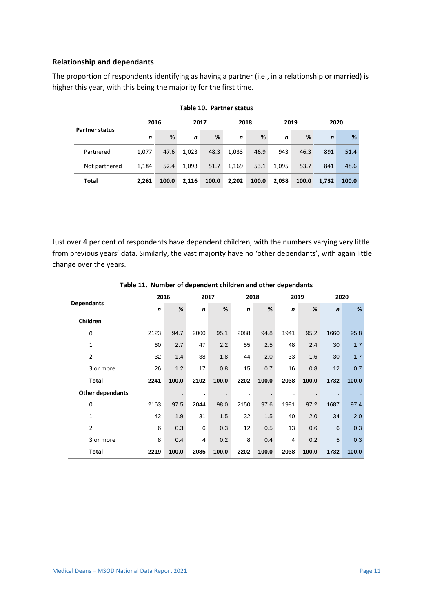#### **Relationship and dependants**

The proportion of respondents identifying as having a partner (i.e., in a relationship or married) is higher this year, with this being the majority for the first time.

<span id="page-11-0"></span>

| <b>Partner status</b> | 2016         |       | 2017  |       | 2018        |       | 2019        |       | 2020        |       |  |
|-----------------------|--------------|-------|-------|-------|-------------|-------|-------------|-------|-------------|-------|--|
|                       | $\mathsf{n}$ | %     | n     | %     | $\mathbf n$ | %     | $\mathbf n$ | %     | $\mathbf n$ | %     |  |
| Partnered             | 1.077        | 47.6  | 1.023 | 48.3  | 1,033       | 46.9  | 943         | 46.3  | 891         | 51.4  |  |
| Not partnered         | 1,184        | 52.4  | 1,093 | 51.7  | 1,169       | 53.1  | 1.095       | 53.7  | 841         | 48.6  |  |
| Total                 | 2.261        | 100.0 | 2,116 | 100.0 | 2,202       | 100.0 | 2,038       | 100.0 | 1,732       | 100.0 |  |

**Table 10. Partner status**

Just over 4 per cent of respondents have dependent children, with the numbers varying very little from previous years' data. Similarly, the vast majority have no 'other dependants', with again little change over the years.

<span id="page-11-1"></span>

|                         |             | 2016  |      | 2017  | 2018        |       | 2019 |       | 2020        |       |
|-------------------------|-------------|-------|------|-------|-------------|-------|------|-------|-------------|-------|
| <b>Dependants</b>       | $\mathbf n$ | $\%$  | n    | %     | $\mathbf n$ | %     | n    | %     | $\mathbf n$ | %     |
| Children                |             |       |      |       |             |       |      |       |             |       |
| 0                       | 2123        | 94.7  | 2000 | 95.1  | 2088        | 94.8  | 1941 | 95.2  | 1660        | 95.8  |
| 1                       | 60          | 2.7   | 47   | 2.2   | 55          | 2.5   | 48   | 2.4   | 30          | 1.7   |
| $\overline{2}$          | 32          | 1.4   | 38   | 1.8   | 44          | 2.0   | 33   | 1.6   | 30          | 1.7   |
| 3 or more               | 26          | 1.2   | 17   | 0.8   | 15          | 0.7   | 16   | 0.8   | 12          | 0.7   |
| Total                   | 2241        | 100.0 | 2102 | 100.0 | 2202        | 100.0 | 2038 | 100.0 | 1732        | 100.0 |
| <b>Other dependants</b> | ä,          |       |      |       |             |       |      |       |             |       |
| 0                       | 2163        | 97.5  | 2044 | 98.0  | 2150        | 97.6  | 1981 | 97.2  | 1687        | 97.4  |
| 1                       | 42          | 1.9   | 31   | 1.5   | 32          | 1.5   | 40   | 2.0   | 34          | 2.0   |
| 2                       | 6           | 0.3   | 6    | 0.3   | 12          | 0.5   | 13   | 0.6   | 6           | 0.3   |
| 3 or more               | 8           | 0.4   | 4    | 0.2   | 8           | 0.4   | 4    | 0.2   | 5           | 0.3   |
| Total                   | 2219        | 100.0 | 2085 | 100.0 | 2202        | 100.0 | 2038 | 100.0 | 1732        | 100.0 |

**Table 11. Number of dependent children and other dependants**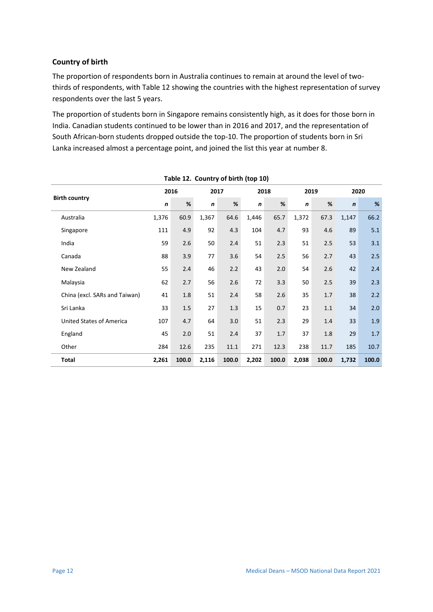#### **Country of birth**

The proportion of respondents born in Australia continues to remain at around the level of twothirds of respondents, with Table 12 showing the countries with the highest representation of survey respondents over the last 5 years.

The proportion of students born in Singapore remains consistently high, as it does for those born in India. Canadian students continued to be lower than in 2016 and 2017, and the representation of South African-born students dropped outside the top-10. The proportion of students born in Sri Lanka increased almost a percentage point, and joined the list this year at number 8.

<span id="page-12-0"></span>

| rable 12. Country of birth (top 10) |       |       |       |       |       |       |              |       |             |       |  |
|-------------------------------------|-------|-------|-------|-------|-------|-------|--------------|-------|-------------|-------|--|
|                                     |       | 2016  | 2017  |       |       | 2018  | 2019         |       | 2020        |       |  |
| <b>Birth country</b>                | n     | %     | n     | %     | n     | $\%$  | $\mathsf{n}$ | %     | $\mathbf n$ | $\%$  |  |
| Australia                           | 1,376 | 60.9  | 1,367 | 64.6  | 1,446 | 65.7  | 1,372        | 67.3  | 1,147       | 66.2  |  |
| Singapore                           | 111   | 4.9   | 92    | 4.3   | 104   | 4.7   | 93           | 4.6   | 89          | 5.1   |  |
| India                               | 59    | 2.6   | 50    | 2.4   | 51    | 2.3   | 51           | 2.5   | 53          | 3.1   |  |
| Canada                              | 88    | 3.9   | 77    | 3.6   | 54    | 2.5   | 56           | 2.7   | 43          | 2.5   |  |
| New Zealand                         | 55    | 2.4   | 46    | 2.2   | 43    | 2.0   | 54           | 2.6   | 42          | 2.4   |  |
| Malaysia                            | 62    | 2.7   | 56    | 2.6   | 72    | 3.3   | 50           | 2.5   | 39          | 2.3   |  |
| China (excl. SARs and Taiwan)       | 41    | 1.8   | 51    | 2.4   | 58    | 2.6   | 35           | 1.7   | 38          | 2.2   |  |
| Sri Lanka                           | 33    | 1.5   | 27    | 1.3   | 15    | 0.7   | 23           | 1.1   | 34          | 2.0   |  |
| <b>United States of America</b>     | 107   | 4.7   | 64    | 3.0   | 51    | 2.3   | 29           | 1.4   | 33          | 1.9   |  |
| England                             | 45    | 2.0   | 51    | 2.4   | 37    | 1.7   | 37           | 1.8   | 29          | 1.7   |  |
| Other                               | 284   | 12.6  | 235   | 11.1  | 271   | 12.3  | 238          | 11.7  | 185         | 10.7  |  |
| <b>Total</b>                        | 2,261 | 100.0 | 2,116 | 100.0 | 2,202 | 100.0 | 2,038        | 100.0 | 1,732       | 100.0 |  |

**Table 12. Country of birth (top 10)**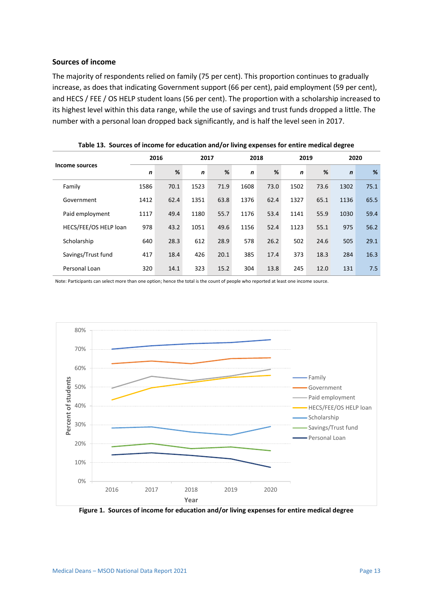#### **Sources of income**

The majority of respondents relied on family (75 per cent). This proportion continues to gradually increase, as does that indicating Government support (66 per cent), paid employment (59 per cent), and HECS / FEE / OS HELP student loans (56 per cent). The proportion with a scholarship increased to its highest level within this data range, while the use of savings and trust funds dropped a little. The number with a personal loan dropped back significantly, and is half the level seen in 2017.

<span id="page-13-0"></span>

|                       | 2016         |      | 2017         |      | 2018        |      | 2019        |      | 2020        |      |
|-----------------------|--------------|------|--------------|------|-------------|------|-------------|------|-------------|------|
| Income sources        | $\mathsf{n}$ | %    | $\mathsf{n}$ | %    | $\mathbf n$ | %    | $\mathbf n$ | %    | $\mathbf n$ | %    |
| Family                | 1586         | 70.1 | 1523         | 71.9 | 1608        | 73.0 | 1502        | 73.6 | 1302        | 75.1 |
| Government            | 1412         | 62.4 | 1351         | 63.8 | 1376        | 62.4 | 1327        | 65.1 | 1136        | 65.5 |
| Paid employment       | 1117         | 49.4 | 1180         | 55.7 | 1176        | 53.4 | 1141        | 55.9 | 1030        | 59.4 |
| HECS/FEE/OS HELP loan | 978          | 43.2 | 1051         | 49.6 | 1156        | 52.4 | 1123        | 55.1 | 975         | 56.2 |
| Scholarship           | 640          | 28.3 | 612          | 28.9 | 578         | 26.2 | 502         | 24.6 | 505         | 29.1 |
| Savings/Trust fund    | 417          | 18.4 | 426          | 20.1 | 385         | 17.4 | 373         | 18.3 | 284         | 16.3 |
| Personal Loan         | 320          | 14.1 | 323          | 15.2 | 304         | 13.8 | 245         | 12.0 | 131         | 7.5  |

|  | Table 13. Sources of income for education and/or living expenses for entire medical degree |  |
|--|--------------------------------------------------------------------------------------------|--|
|--|--------------------------------------------------------------------------------------------|--|

Note: Participants can select more than one option; hence the total is the count of people who reported at least one income source.



<span id="page-13-1"></span>**Figure 1. Sources of income for education and/or living expenses for entire medical degree**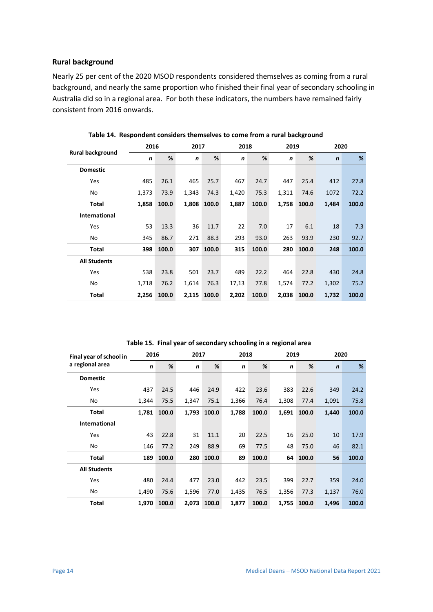#### **Rural background**

Nearly 25 per cent of the 2020 MSOD respondents considered themselves as coming from a rural background, and nearly the same proportion who finished their final year of secondary schooling in Australia did so in a regional area. For both these indicators, the numbers have remained fairly consistent from 2016 onwards.

<span id="page-14-0"></span>

|                         | 2016        | 2017  |             | 2018  |             | 2019  |       | 2020  |             |       |
|-------------------------|-------------|-------|-------------|-------|-------------|-------|-------|-------|-------------|-------|
| <b>Rural background</b> | $\mathbf n$ | %     | $\mathbf n$ | %     | $\mathbf n$ | %     | n     | %     | $\mathbf n$ | %     |
| <b>Domestic</b>         |             |       |             |       |             |       |       |       |             |       |
| <b>Yes</b>              | 485         | 26.1  | 465         | 25.7  | 467         | 24.7  | 447   | 25.4  | 412         | 27.8  |
| No                      | 1,373       | 73.9  | 1,343       | 74.3  | 1,420       | 75.3  | 1,311 | 74.6  | 1072        | 72.2  |
| Total                   | 1,858       | 100.0 | 1,808       | 100.0 | 1,887       | 100.0 | 1,758 | 100.0 | 1,484       | 100.0 |
| <b>International</b>    |             |       |             |       |             |       |       |       |             |       |
| Yes                     | 53          | 13.3  | 36          | 11.7  | 22          | 7.0   | 17    | 6.1   | 18          | 7.3   |
| No                      | 345         | 86.7  | 271         | 88.3  | 293         | 93.0  | 263   | 93.9  | 230         | 92.7  |
| Total                   | 398         | 100.0 | 307         | 100.0 | 315         | 100.0 | 280   | 100.0 | 248         | 100.0 |
| <b>All Students</b>     |             |       |             |       |             |       |       |       |             |       |
| <b>Yes</b>              | 538         | 23.8  | 501         | 23.7  | 489         | 22.2  | 464   | 22.8  | 430         | 24.8  |
| No                      | 1,718       | 76.2  | 1,614       | 76.3  | 17,13       | 77.8  | 1,574 | 77.2  | 1,302       | 75.2  |
| Total                   | 2,256       | 100.0 | 2,115       | 100.0 | 2,202       | 100.0 | 2,038 | 100.0 | 1,732       | 100.0 |

**Table 14. Respondent considers themselves to come from a rural background**

<span id="page-14-1"></span>

| Final year of school in | 2016  | 2017  |              | 2018  |             |       | 2019        |       | 2020        |       |
|-------------------------|-------|-------|--------------|-------|-------------|-------|-------------|-------|-------------|-------|
| a regional area         | n     | %     | $\mathsf{n}$ | %     | $\mathbf n$ | %     | $\mathbf n$ | %     | $\mathbf n$ | %     |
| <b>Domestic</b>         |       |       |              |       |             |       |             |       |             |       |
| Yes                     | 437   | 24.5  | 446          | 24.9  | 422         | 23.6  | 383         | 22.6  | 349         | 24.2  |
| No                      | 1,344 | 75.5  | 1,347        | 75.1  | 1,366       | 76.4  | 1,308       | 77.4  | 1,091       | 75.8  |
| Total                   | 1,781 | 100.0 | 1,793        | 100.0 | 1,788       | 100.0 | 1,691       | 100.0 | 1,440       | 100.0 |
| <b>International</b>    |       |       |              |       |             |       |             |       |             |       |
| <b>Yes</b>              | 43    | 22.8  | 31           | 11.1  | 20          | 22.5  | 16          | 25.0  | 10          | 17.9  |
| No                      | 146   | 77.2  | 249          | 88.9  | 69          | 77.5  | 48          | 75.0  | 46          | 82.1  |
| <b>Total</b>            | 189   | 100.0 | 280          | 100.0 | 89          | 100.0 | 64          | 100.0 | 56          | 100.0 |
| <b>All Students</b>     |       |       |              |       |             |       |             |       |             |       |
| <b>Yes</b>              | 480   | 24.4  | 477          | 23.0  | 442         | 23.5  | 399         | 22.7  | 359         | 24.0  |
| No                      | 1,490 | 75.6  | 1,596        | 77.0  | 1,435       | 76.5  | 1,356       | 77.3  | 1,137       | 76.0  |
| Total                   | 1,970 | 100.0 | 2,073        | 100.0 | 1,877       | 100.0 | 1,755       | 100.0 | 1,496       | 100.0 |

**Table 15. Final year of secondary schooling in a regional area**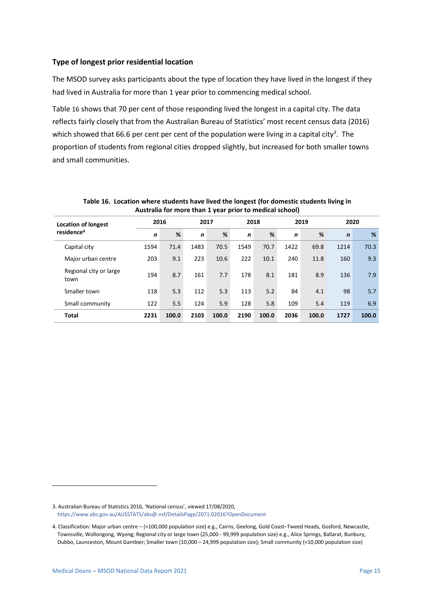#### **Type of longest prior residential location**

The MSOD survey asks participants about the type of location they have lived in the longest if they had lived in Australia for more than 1 year prior to commencing medical school.

[Table](#page-15-0) [16](#page-15-0) shows that 70 per cent of those responding lived the longest in a capital city. The data reflects fairly closely that from the Australian Bureau of Statistics' most recent census data (2016) which showed that 66.6 per cent per cent of the population were living in a capital city<sup>3</sup>. The proportion of students from regional cities dropped slightly, but increased for both smaller towns and small communities.

<span id="page-15-0"></span>

| <b>Location of longest</b>     |      | 2016  |              | 2017  |             | 2018  |             | 2019  |             | 2020  |  |
|--------------------------------|------|-------|--------------|-------|-------------|-------|-------------|-------|-------------|-------|--|
| residence <sup>4</sup>         | n    | %     | $\mathsf{n}$ | %     | $\mathbf n$ | %     | $\mathbf n$ | %     | $\mathbf n$ | %     |  |
| Capital city                   | 1594 | 71.4  | 1483         | 70.5  | 1549        | 70.7  | 1422        | 69.8  | 1214        | 70.3  |  |
| Major urban centre             | 203  | 9.1   | 223          | 10.6  | 222         | 10.1  | 240         | 11.8  | 160         | 9.3   |  |
| Regional city or large<br>town | 194  | 8.7   | 161          | 7.7   | 178         | 8.1   | 181         | 8.9   | 136         | 7.9   |  |
| Smaller town                   | 118  | 5.3   | 112          | 5.3   | 113         | 5.2   | 84          | 4.1   | 98          | 5.7   |  |
| Small community                | 122  | 5.5   | 124          | 5.9   | 128         | 5.8   | 109         | 5.4   | 119         | 6.9   |  |
| Total                          | 2231 | 100.0 | 2103         | 100.0 | 2190        | 100.0 | 2036        | 100.0 | 1727        | 100.0 |  |

#### **Table 16. Location where students have lived the longest (for domestic students living in Australia for more than 1 year prior to medical school)**

<sup>3.</sup> Australian Bureau of Statistics 2016, 'National census', viewed 17/08/2020, <https://www.abs.gov.au/AUSSTATS/abs@.nsf/DetailsPage/2071.02016?OpenDocument>

<sup>4.</sup> Classification: Major urban centre – (>100,000 population size) e.g., Cairns, Geelong, Gold Coast–Tweed Heads, Gosford, Newcastle, Townsville, Wollongong, Wyong; Regional city or large town (25,000 - 99,999 population size) e.g., Alice Springs, Ballarat, Bunbury, Dubbo, Launceston, Mount Gambier; Smaller town (10,000 – 24,999 population size); Small community (<10,000 population size)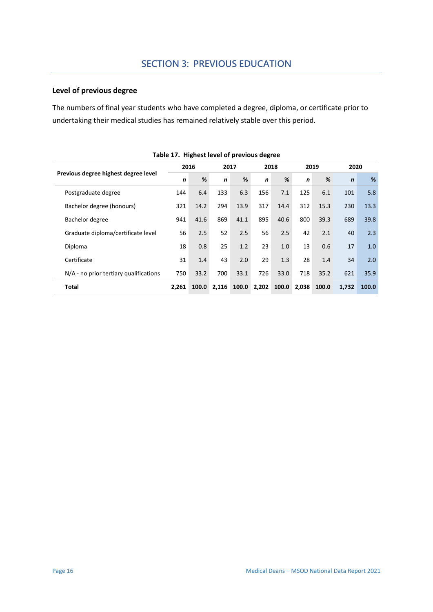## **Level of previous degree**

The numbers of final year students who have completed a degree, diploma, or certificate prior to undertaking their medical studies has remained relatively stable over this period.

<span id="page-16-0"></span>

|                                        | Table 17. Tightest level of previous uegiee |       |             |       |             |       |       |       |             |       |
|----------------------------------------|---------------------------------------------|-------|-------------|-------|-------------|-------|-------|-------|-------------|-------|
|                                        | 2016                                        |       | 2017        |       | 2018        |       | 2019  |       | 2020        |       |
| Previous degree highest degree level   | $\mathbf n$                                 | %     | $\mathbf n$ | %     | $\mathbf n$ | %     | n     | %     | $\mathbf n$ | %     |
| Postgraduate degree                    | 144                                         | 6.4   | 133         | 6.3   | 156         | 7.1   | 125   | 6.1   | 101         | 5.8   |
| Bachelor degree (honours)              | 321                                         | 14.2  | 294         | 13.9  | 317         | 14.4  | 312   | 15.3  | 230         | 13.3  |
| Bachelor degree                        | 941                                         | 41.6  | 869         | 41.1  | 895         | 40.6  | 800   | 39.3  | 689         | 39.8  |
| Graduate diploma/certificate level     | 56                                          | 2.5   | 52          | 2.5   | 56          | 2.5   | 42    | 2.1   | 40          | 2.3   |
| Diploma                                | 18                                          | 0.8   | 25          | 1.2   | 23          | 1.0   | 13    | 0.6   | 17          | 1.0   |
| Certificate                            | 31                                          | 1.4   | 43          | 2.0   | 29          | 1.3   | 28    | 1.4   | 34          | 2.0   |
| N/A - no prior tertiary qualifications | 750                                         | 33.2  | 700         | 33.1  | 726         | 33.0  | 718   | 35.2  | 621         | 35.9  |
| <b>Total</b>                           | 2,261                                       | 100.0 | 2,116       | 100.0 | 2,202       | 100.0 | 2,038 | 100.0 | 1,732       | 100.0 |

|  |  |  | Table 17. Highest level of previous degree |  |
|--|--|--|--------------------------------------------|--|
|--|--|--|--------------------------------------------|--|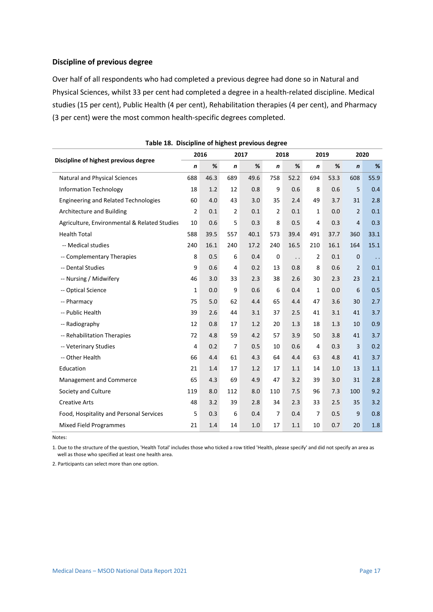#### **Discipline of previous degree**

Over half of all respondents who had completed a previous degree had done so in Natural and Physical Sciences, whilst 33 per cent had completed a degree in a health-related discipline. Medical studies (15 per cent), Public Health (4 per cent), Rehabilitation therapies (4 per cent), and Pharmacy (3 per cent) were the most common health-specific degrees completed.

<span id="page-17-0"></span>

|                                              | 2016           |      |                | 2017 | 2018           |                      | 2019           |      | 2020             |           |
|----------------------------------------------|----------------|------|----------------|------|----------------|----------------------|----------------|------|------------------|-----------|
| Discipline of highest previous degree        | $\mathbf n$    | %    | $\pmb{n}$      | $\%$ | n              | %                    | n              | $\%$ | $\boldsymbol{n}$ | %         |
| Natural and Physical Sciences                | 688            | 46.3 | 689            | 49.6 | 758            | 52.2                 | 694            | 53.3 | 608              | 55.9      |
| <b>Information Technology</b>                | 18             | 1.2  | 12             | 0.8  | 9              | 0.6                  | 8              | 0.6  | 5                | 0.4       |
| <b>Engineering and Related Technologies</b>  | 60             | 4.0  | 43             | 3.0  | 35             | 2.4                  | 49             | 3.7  | 31               | 2.8       |
| Architecture and Building                    | $\overline{2}$ | 0.1  | $\overline{2}$ | 0.1  | 2              | 0.1                  | 1              | 0.0  | $\overline{2}$   | 0.1       |
| Agriculture, Environmental & Related Studies | 10             | 0.6  | 5              | 0.3  | 8              | 0.5                  | 4              | 0.3  | $\overline{4}$   | 0.3       |
| <b>Health Total</b>                          | 588            | 39.5 | 557            | 40.1 | 573            | 39.4                 | 491            | 37.7 | 360              | 33.1      |
| -- Medical studies                           | 240            | 16.1 | 240            | 17.2 | 240            | 16.5                 | 210            | 16.1 | 164              | 15.1      |
| -- Complementary Therapies                   | 8              | 0.5  | 6              | 0.4  | 0              | $\ddot{\phantom{0}}$ | $\overline{2}$ | 0.1  | $\mathbf 0$      | $\ddotsc$ |
| -- Dental Studies                            | 9              | 0.6  | 4              | 0.2  | 13             | 0.8                  | 8              | 0.6  | $\overline{2}$   | 0.1       |
| -- Nursing / Midwifery                       | 46             | 3.0  | 33             | 2.3  | 38             | 2.6                  | 30             | 2.3  | 23               | 2.1       |
| -- Optical Science                           | $\mathbf 1$    | 0.0  | 9              | 0.6  | 6              | 0.4                  | $\mathbf{1}$   | 0.0  | 6                | 0.5       |
| -- Pharmacy                                  | 75             | 5.0  | 62             | 4.4  | 65             | 4.4                  | 47             | 3.6  | 30               | 2.7       |
| -- Public Health                             | 39             | 2.6  | 44             | 3.1  | 37             | 2.5                  | 41             | 3.1  | 41               | 3.7       |
| -- Radiography                               | 12             | 0.8  | 17             | 1.2  | 20             | 1.3                  | 18             | 1.3  | 10               | 0.9       |
| -- Rehabilitation Therapies                  | 72             | 4.8  | 59             | 4.2  | 57             | 3.9                  | 50             | 3.8  | 41               | 3.7       |
| -- Veterinary Studies                        | 4              | 0.2  | $\overline{7}$ | 0.5  | 10             | 0.6                  | 4              | 0.3  | $\overline{3}$   | 0.2       |
| -- Other Health                              | 66             | 4.4  | 61             | 4.3  | 64             | 4.4                  | 63             | 4.8  | 41               | 3.7       |
| Education                                    | 21             | 1.4  | 17             | 1.2  | 17             | 1.1                  | 14             | 1.0  | 13               | 1.1       |
| Management and Commerce                      | 65             | 4.3  | 69             | 4.9  | 47             | 3.2                  | 39             | 3.0  | 31               | 2.8       |
| Society and Culture                          | 119            | 8.0  | 112            | 8.0  | 110            | 7.5                  | 96             | 7.3  | 100              | 9.2       |
| <b>Creative Arts</b>                         | 48             | 3.2  | 39             | 2.8  | 34             | 2.3                  | 33             | 2.5  | 35               | 3.2       |
| Food, Hospitality and Personal Services      | 5              | 0.3  | 6              | 0.4  | $\overline{7}$ | 0.4                  | 7              | 0.5  | 9                | 0.8       |
| <b>Mixed Field Programmes</b>                | 21             | 1.4  | 14             | 1.0  | 17             | 1.1                  | 10             | 0.7  | 20               | 1.8       |

**Table 18. Discipline of highest previous degree**

Notes:

1. Due to the structure of the question, 'Health Total' includes those who ticked a row titled 'Health, please specify' and did not specify an area as well as those who specified at least one health area.

2. Participants can select more than one option.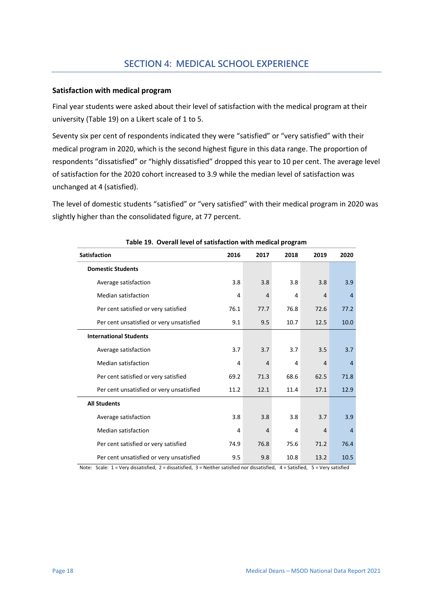#### **Satisfaction with medical program**

Final year students were asked about their level of satisfaction with the medical program at their university [\(Table 19\)](#page-18-0) on a Likert scale of 1 to 5.

Seventy six per cent of respondents indicated they were "satisfied" or "very satisfied" with their medical program in 2020, which is the second highest figure in this data range. The proportion of respondents "dissatisfied" or "highly dissatisfied" dropped this year to 10 per cent. The average level of satisfaction for the 2020 cohort increased to 3.9 while the median level of satisfaction was unchanged at 4 (satisfied).

The level of domestic students "satisfied" or "very satisfied" with their medical program in 2020 was slightly higher than the consolidated figure, at 77 percent.

<span id="page-18-0"></span>

| rable 15. Overall level of satisfaction with inequital program |      |                |      |                |                |
|----------------------------------------------------------------|------|----------------|------|----------------|----------------|
| <b>Satisfaction</b>                                            | 2016 | 2017           | 2018 | 2019           | 2020           |
| <b>Domestic Students</b>                                       |      |                |      |                |                |
| Average satisfaction                                           | 3.8  | 3.8            | 3.8  | 3.8            | 3.9            |
| <b>Median satisfaction</b>                                     | 4    | $\overline{4}$ | 4    | $\overline{4}$ | $\overline{4}$ |
| Per cent satisfied or very satisfied                           | 76.1 | 77.7           | 76.8 | 72.6           | 77.2           |
| Per cent unsatisfied or very unsatisfied                       | 9.1  | 9.5            | 10.7 | 12.5           | 10.0           |
| <b>International Students</b>                                  |      |                |      |                |                |
| Average satisfaction                                           | 3.7  | 3.7            | 3.7  | 3.5            | 3.7            |
| <b>Median satisfaction</b>                                     | 4    | $\overline{4}$ | 4    | $\overline{4}$ | $\overline{4}$ |
| Per cent satisfied or very satisfied                           | 69.2 | 71.3           | 68.6 | 62.5           | 71.8           |
| Per cent unsatisfied or very unsatisfied                       | 11.2 | 12.1           | 11.4 | 17.1           | 12.9           |
| <b>All Students</b>                                            |      |                |      |                |                |
| Average satisfaction                                           | 3.8  | 3.8            | 3.8  | 3.7            | 3.9            |
| <b>Median satisfaction</b>                                     | 4    | 4              | 4    | $\overline{4}$ | $\overline{4}$ |
| Per cent satisfied or very satisfied                           | 74.9 | 76.8           | 75.6 | 71.2           | 76.4           |
| Per cent unsatisfied or very unsatisfied                       | 9.5  | 9.8            | 10.8 | 13.2           | 10.5           |

**Table 19. Overall level of satisfaction with medical program**

Note: Scale:  $1 =$  Very dissatisfied,  $2 =$  dissatisfied,  $3 =$  Neither satisfied nor dissatisfied,  $4 =$  Satisfied,  $5 =$  Very satisfied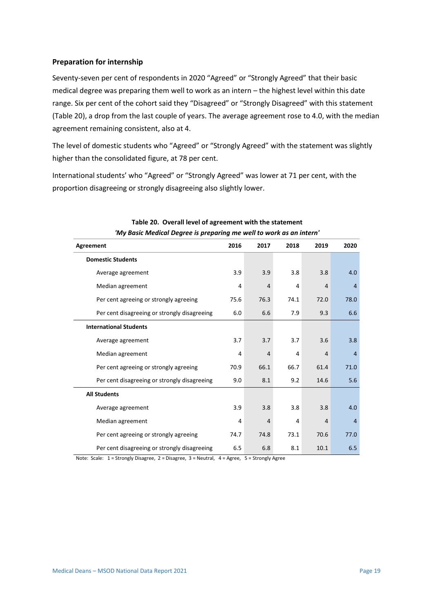#### **Preparation for internship**

Seventy-seven per cent of respondents in 2020 "Agreed" or "Strongly Agreed" that their basic medical degree was preparing them well to work as an intern – the highest level within this date range. Six per cent of the cohort said they "Disagreed" or "Strongly Disagreed" with this statement [\(Table 20\)](#page-19-0), a drop from the last couple of years. The average agreement rose to 4.0, with the median agreement remaining consistent, also at 4.

The level of domestic students who "Agreed" or "Strongly Agreed" with the statement was slightly higher than the consolidated figure, at 78 per cent.

International students' who "Agreed" or "Strongly Agreed" was lower at 71 per cent, with the proportion disagreeing or strongly disagreeing also slightly lower.

<span id="page-19-0"></span>

| iviy basic iviedical begree is preparing the well to work as all intern |      |                |      |                |                |
|-------------------------------------------------------------------------|------|----------------|------|----------------|----------------|
| Agreement                                                               | 2016 | 2017           | 2018 | 2019           | 2020           |
| <b>Domestic Students</b>                                                |      |                |      |                |                |
| Average agreement                                                       | 3.9  | 3.9            | 3.8  | 3.8            | 4.0            |
| Median agreement                                                        | 4    | $\overline{4}$ | 4    | $\overline{4}$ | $\overline{4}$ |
| Per cent agreeing or strongly agreeing                                  | 75.6 | 76.3           | 74.1 | 72.0           | 78.0           |
| Per cent disagreeing or strongly disagreeing                            | 6.0  | 6.6            | 7.9  | 9.3            | 6.6            |
| <b>International Students</b>                                           |      |                |      |                |                |
| Average agreement                                                       | 3.7  | 3.7            | 3.7  | 3.6            | 3.8            |
| Median agreement                                                        | 4    | $\overline{4}$ | 4    | $\overline{4}$ | $\overline{4}$ |
| Per cent agreeing or strongly agreeing                                  | 70.9 | 66.1           | 66.7 | 61.4           | 71.0           |
| Per cent disagreeing or strongly disagreeing                            | 9.0  | 8.1            | 9.2  | 14.6           | 5.6            |
| <b>All Students</b>                                                     |      |                |      |                |                |
| Average agreement                                                       | 3.9  | 3.8            | 3.8  | 3.8            | 4.0            |
| Median agreement                                                        | 4    | $\overline{4}$ | 4    | $\overline{4}$ | $\overline{4}$ |
| Per cent agreeing or strongly agreeing                                  | 74.7 | 74.8           | 73.1 | 70.6           | 77.0           |
| Per cent disagreeing or strongly disagreeing                            | 6.5  | 6.8            | 8.1  | 10.1           | 6.5            |

#### **Table 20. Overall level of agreement with the statement** *'My Basic Medical Degree is preparing me well to work as an intern'*

Note: Scale: 1 = Strongly Disagree, 2 = Disagree, 3 = Neutral, 4 = Agree, 5 = Strongly Agree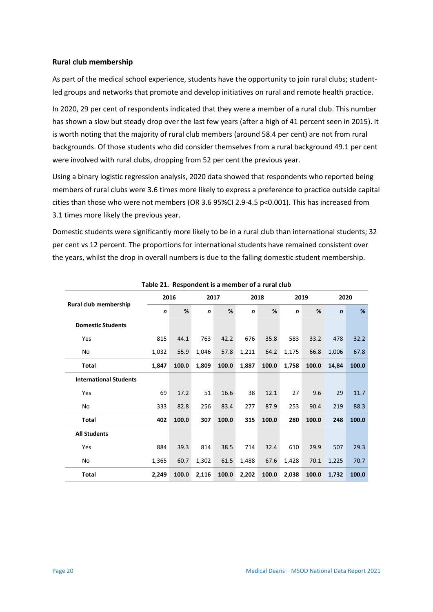#### **Rural club membership**

As part of the medical school experience, students have the opportunity to join rural clubs; studentled groups and networks that promote and develop initiatives on rural and remote health practice.

In 2020, 29 per cent of respondents indicated that they were a member of a rural club. This number has shown a slow but steady drop over the last few years (after a high of 41 percent seen in 2015). It is worth noting that the majority of rural club members (around 58.4 per cent) are not from rural backgrounds. Of those students who did consider themselves from a rural background 49.1 per cent were involved with rural clubs, dropping from 52 per cent the previous year.

Using a binary logistic regression analysis, 2020 data showed that respondents who reported being members of rural clubs were 3.6 times more likely to express a preference to practice outside capital cities than those who were not members (OR 3.6 95%CI 2.9-4.5 p<0.001). This has increased from 3.1 times more likely the previous year.

Domestic students were significantly more likely to be in a rural club than international students; 32 per cent vs 12 percent. The proportions for international students have remained consistent over the years, whilst the drop in overall numbers is due to the falling domestic student membership.

<span id="page-20-0"></span>

|                               | rable 21. Respondent is a member of a fural club |       |       |       |       |       |              |       |             |       |
|-------------------------------|--------------------------------------------------|-------|-------|-------|-------|-------|--------------|-------|-------------|-------|
|                               |                                                  | 2016  | 2017  |       |       | 2018  |              | 2019  | 2020        |       |
| <b>Rural club membership</b>  | n                                                | %     | n     | %     | n     | %     | $\mathsf{n}$ | %     | $\mathbf n$ | %     |
| <b>Domestic Students</b>      |                                                  |       |       |       |       |       |              |       |             |       |
| Yes                           | 815                                              | 44.1  | 763   | 42.2  | 676   | 35.8  | 583          | 33.2  | 478         | 32.2  |
| No                            | 1,032                                            | 55.9  | 1,046 | 57.8  | 1,211 | 64.2  | 1,175        | 66.8  | 1,006       | 67.8  |
| <b>Total</b>                  | 1,847                                            | 100.0 | 1,809 | 100.0 | 1,887 | 100.0 | 1,758        | 100.0 | 14,84       | 100.0 |
| <b>International Students</b> |                                                  |       |       |       |       |       |              |       |             |       |
| Yes                           | 69                                               | 17.2  | 51    | 16.6  | 38    | 12.1  | 27           | 9.6   | 29          | 11.7  |
| No                            | 333                                              | 82.8  | 256   | 83.4  | 277   | 87.9  | 253          | 90.4  | 219         | 88.3  |
| Total                         | 402                                              | 100.0 | 307   | 100.0 | 315   | 100.0 | 280          | 100.0 | 248         | 100.0 |
| <b>All Students</b>           |                                                  |       |       |       |       |       |              |       |             |       |
| Yes                           | 884                                              | 39.3  | 814   | 38.5  | 714   | 32.4  | 610          | 29.9  | 507         | 29.3  |
| No                            | 1,365                                            | 60.7  | 1,302 | 61.5  | 1,488 | 67.6  | 1,428        | 70.1  | 1,225       | 70.7  |
| <b>Total</b>                  | 2,249                                            | 100.0 | 2,116 | 100.0 | 2,202 | 100.0 | 2,038        | 100.0 | 1,732       | 100.0 |

**Table 21. Respondent is a member of a rural club**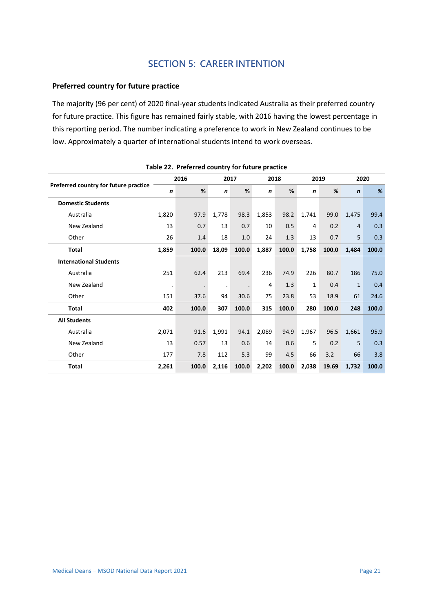## **SECTION 5: CAREER INTENTION**

#### **Preferred country for future practice**

The majority (96 per cent) of 2020 final-year students indicated Australia as their preferred country for future practice. This figure has remained fairly stable, with 2016 having the lowest percentage in this reporting period. The number indicating a preference to work in New Zealand continues to be low. Approximately a quarter of international students intend to work overseas.

<span id="page-21-0"></span>

|                                       |              | 2016    | 2017         |       | 2018        |       |       | 2019  |              | 2020  |  |
|---------------------------------------|--------------|---------|--------------|-------|-------------|-------|-------|-------|--------------|-------|--|
| Preferred country for future practice | $\mathsf{n}$ | %       | $\mathsf{n}$ | %     | $\mathbf n$ | %     | n     | %     | $\mathbf n$  | %     |  |
| <b>Domestic Students</b>              |              |         |              |       |             |       |       |       |              |       |  |
| Australia                             | 1,820        | 97.9    | 1,778        | 98.3  | 1,853       | 98.2  | 1,741 | 99.0  | 1,475        | 99.4  |  |
| New Zealand                           | 13           | 0.7     | 13           | 0.7   | 10          | 0.5   | 4     | 0.2   | 4            | 0.3   |  |
| Other                                 | 26           | 1.4     | 18           | 1.0   | 24          | 1.3   | 13    | 0.7   | 5            | 0.3   |  |
| <b>Total</b>                          | 1,859        | 100.0   | 18,09        | 100.0 | 1,887       | 100.0 | 1,758 | 100.0 | 1,484        | 100.0 |  |
| <b>International Students</b>         |              |         |              |       |             |       |       |       |              |       |  |
| Australia                             | 251          | 62.4    | 213          | 69.4  | 236         | 74.9  | 226   | 80.7  | 186          | 75.0  |  |
| New Zealand                           | $\bullet$    | $\cdot$ | $\bullet$    |       | 4           | 1.3   | 1     | 0.4   | $\mathbf{1}$ | 0.4   |  |
| Other                                 | 151          | 37.6    | 94           | 30.6  | 75          | 23.8  | 53    | 18.9  | 61           | 24.6  |  |
| <b>Total</b>                          | 402          | 100.0   | 307          | 100.0 | 315         | 100.0 | 280   | 100.0 | 248          | 100.0 |  |
| <b>All Students</b>                   |              |         |              |       |             |       |       |       |              |       |  |
| Australia                             | 2,071        | 91.6    | 1,991        | 94.1  | 2,089       | 94.9  | 1,967 | 96.5  | 1,661        | 95.9  |  |
| New Zealand                           | 13           | 0.57    | 13           | 0.6   | 14          | 0.6   | 5     | 0.2   | 5            | 0.3   |  |
| Other                                 | 177          | 7.8     | 112          | 5.3   | 99          | 4.5   | 66    | 3.2   | 66           | 3.8   |  |
| <b>Total</b>                          | 2,261        | 100.0   | 2,116        | 100.0 | 2,202       | 100.0 | 2,038 | 19.69 | 1.732        | 100.0 |  |

|  | Table 22. Preferred country for future practice |  |
|--|-------------------------------------------------|--|
|  |                                                 |  |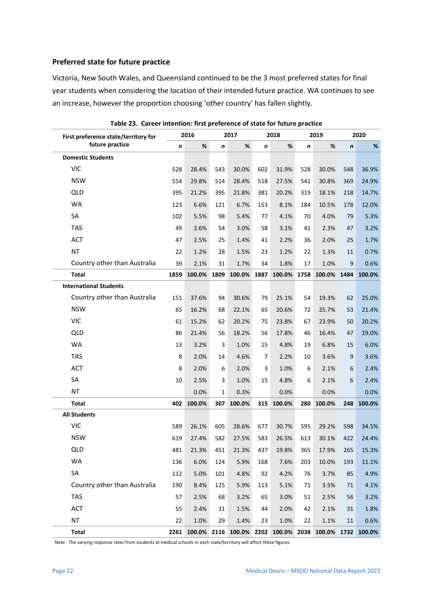#### **Preferred state for future practice**

Victoria, New South Wales, and Queensland continued to be the 3 most preferred states for final year students when considering the location of their intended future practice. WA continues to see an increase, however the proportion choosing 'other country' has fallen slightly.

<span id="page-22-0"></span>

| First preference state/territory for |      | 2016   |      | 2017                                                        |                  | 2018   |      | 2019   |                  | 2020   |
|--------------------------------------|------|--------|------|-------------------------------------------------------------|------------------|--------|------|--------|------------------|--------|
| future practice                      | n    | $\%$   | n    | %                                                           | $\boldsymbol{n}$ | %      | n    | $\%$   | $\boldsymbol{n}$ | %      |
| <b>Domestic Students</b>             |      |        |      |                                                             |                  |        |      |        |                  |        |
| <b>VIC</b>                           | 528  | 28.4%  | 543  | 30.0%                                                       | 602              | 31.9%  | 528  | 30.0%  | 548              | 36.9%  |
| <b>NSW</b>                           | 554  | 29.8%  | 514  | 28.4%                                                       | 518              | 27.5%  | 541  | 30.8%  | 369              | 24.9%  |
| <b>QLD</b>                           | 395  | 21.2%  | 395  | 21.8%                                                       | 381              | 20.2%  | 319  | 18.1%  | 218              | 14.7%  |
| <b>WA</b>                            | 123  | 6.6%   | 121  | 6.7%                                                        | 153              | 8.1%   | 184  | 10.5%  | 178              | 12.0%  |
| SA                                   | 102  | 5.5%   | 98   | 5.4%                                                        | 77               | 4.1%   | 70   | 4.0%   | 79               | 5.3%   |
| <b>TAS</b>                           | 49   | 2.6%   | 54   | 3.0%                                                        | 58               | 3.1%   | 41   | 2.3%   | 47               | 3.2%   |
| <b>ACT</b>                           | 47   | 2.5%   | 25   | 1.4%                                                        | 41               | 2.2%   | 36   | 2.0%   | 25               | 1.7%   |
| <b>NT</b>                            | 22   | 1.2%   | 28   | 1.5%                                                        | 23               | 1.2%   | 22   | 1.3%   | 11               | 0.7%   |
| Country other than Australia         | 39   | 2.1%   | 31   | 1.7%                                                        | 34               | 1.8%   | 17   | 1.0%   | 9                | 0.6%   |
| <b>Total</b>                         | 1859 | 100.0% | 1809 | 100.0%                                                      | 1887             | 100.0% | 1758 | 100.0% | 1484             | 100.0% |
| <b>International Students</b>        |      |        |      |                                                             |                  |        |      |        |                  |        |
| Country other than Australia         | 151  | 37.6%  | 94   | 30.6%                                                       | 79               | 25.1%  | 54   | 19.3%  | 62               | 25.0%  |
| <b>NSW</b>                           | 65   | 16.2%  | 68   | 22.1%                                                       | 65               | 20.6%  | 72   | 25.7%  | 53               | 21.4%  |
| <b>VIC</b>                           | 61   | 15.2%  | 62   | 20.2%                                                       | 75               | 23.8%  | 67   | 23.9%  | 50               | 20.2%  |
| <b>QLD</b>                           | 86   | 21.4%  | 56   | 18.2%                                                       | 56               | 17.8%  | 46   | 16.4%  | 47               | 19.0%  |
| <b>WA</b>                            | 13   | 3.2%   | 3    | 1.0%                                                        | 15               | 4.8%   | 19   | 6.8%   | 15               | 6.0%   |
| <b>TAS</b>                           | 8    | 2.0%   | 14   | 4.6%                                                        | 7                | 2.2%   | 10   | 3.6%   | 9                | 3.6%   |
| ACT                                  | 8    | 2.0%   | 6    | 2.0%                                                        | 3                | 1.0%   | 6    | 2.1%   | 6                | 2.4%   |
| SA                                   | 10   | 2.5%   | 3    | 1.0%                                                        | 15               | 4.8%   | 6    | 2.1%   | 6                | 2.4%   |
| <b>NT</b>                            |      | 0.0%   | 1    | 0.3%                                                        |                  | 0.0%   |      | 0.0%   |                  | 0.0%   |
| <b>Total</b>                         | 402  | 100.0% | 307  | 100.0%                                                      | 315              | 100.0% | 280  | 100.0% | 248              | 100.0% |
| <b>All Students</b>                  |      |        |      |                                                             |                  |        |      |        |                  |        |
| <b>VIC</b>                           | 589  | 26.1%  | 605  | 28.6%                                                       | 677              | 30.7%  | 595  | 29.2%  | 598              | 34.5%  |
| <b>NSW</b>                           | 619  | 27.4%  | 582  | 27.5%                                                       | 583              | 26.5%  | 613  | 30.1%  | 422              | 24.4%  |
| <b>QLD</b>                           | 481  | 21.3%  | 451  | 21.3%                                                       | 437              | 19.8%  | 365  | 17.9%  | 265              | 15.3%  |
| WA                                   | 136  | 6.0%   | 124  | 5.9%                                                        | 168              | 7.6%   | 203  | 10.0%  | 193              | 11.1%  |
| SA                                   | 112  | 5.0%   | 101  | 4.8%                                                        | 92               | 4.2%   | 76   | 3.7%   | 85               | 4.9%   |
| Country other than Australia         | 190  | 8.4%   | 125  | 5.9%                                                        | 113              | 5.1%   | 71   | 3.5%   | 71               | 4.1%   |
| <b>TAS</b>                           | 57   | 2.5%   | 68   | 3.2%                                                        | 65               | 3.0%   | 51   | 2.5%   | 56               | 3.2%   |
| <b>ACT</b>                           | 55   | 2.4%   | 31   | 1.5%                                                        | 44               | 2.0%   | 42   | 2.1%   | 31               | 1.8%   |
| NT                                   | 22   | 1.0%   | 29   | 1.4%                                                        | 23               | 1.0%   | 22   | 1.1%   | 11               | 0.6%   |
| <b>Total</b>                         |      |        |      | 2261 100.0% 2116 100.0% 2202 100.0% 2038 100.0% 1732 100.0% |                  |        |      |        |                  |        |

**Table 23. Career intention: first preference of state for future practice**

Note: The varying response rates from students at medical schools in each state/territory will affect these figures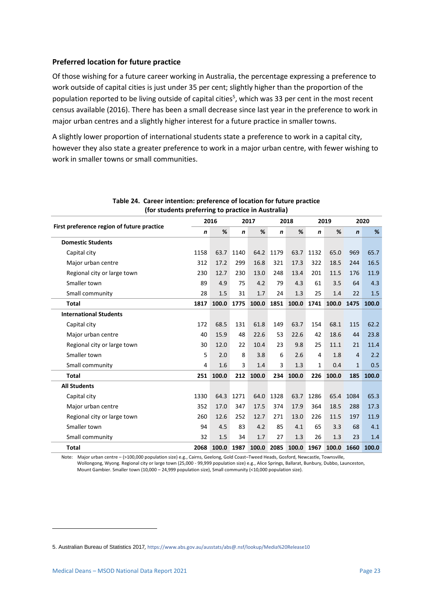#### **Preferred location for future practice**

Of those wishing for a future career working in Australia, the percentage expressing a preference to work outside of capital cities is just under 35 per cent; slightly higher than the proportion of the population reported to be living outside of capital cities<sup>5</sup>, which was 33 per cent in the most recent census available (2016). There has been a small decrease since last year in the preference to work in major urban centres and a slightly higher interest for a future practice in smaller towns.

A slightly lower proportion of international students state a preference to work in a capital city, however they also state a greater preference to work in a major urban centre, with fewer wishing to work in smaller towns or small communities.

<span id="page-23-0"></span>

|                                            |             | 2016<br>2017 |             |       | 2018        |       | 2019         |       | 2020         |       |
|--------------------------------------------|-------------|--------------|-------------|-------|-------------|-------|--------------|-------|--------------|-------|
| First preference region of future practice | $\mathbf n$ | %            | $\mathbf n$ | %     | $\mathbf n$ | %     | $\mathbf n$  | %     | $\mathbf n$  | %     |
| <b>Domestic Students</b>                   |             |              |             |       |             |       |              |       |              |       |
| Capital city                               | 1158        | 63.7         | 1140        | 64.2  | 1179        | 63.7  | 1132         | 65.0  | 969          | 65.7  |
| Major urban centre                         | 312         | 17.2         | 299         | 16.8  | 321         | 17.3  | 322          | 18.5  | 244          | 16.5  |
| Regional city or large town                | 230         | 12.7         | 230         | 13.0  | 248         | 13.4  | 201          | 11.5  | 176          | 11.9  |
| Smaller town                               | 89          | 4.9          | 75          | 4.2   | 79          | 4.3   | 61           | 3.5   | 64           | 4.3   |
| Small community                            | 28          | 1.5          | 31          | 1.7   | 24          | 1.3   | 25           | 1.4   | 22           | 1.5   |
| <b>Total</b>                               | 1817        | 100.0        | 1775        | 100.0 | 1851        | 100.0 | 1741         | 100.0 | 1475         | 100.0 |
| <b>International Students</b>              |             |              |             |       |             |       |              |       |              |       |
| Capital city                               | 172         | 68.5         | 131         | 61.8  | 149         | 63.7  | 154          | 68.1  | 115          | 62.2  |
| Major urban centre                         | 40          | 15.9         | 48          | 22.6  | 53          | 22.6  | 42           | 18.6  | 44           | 23.8  |
| Regional city or large town                | 30          | 12.0         | 22          | 10.4  | 23          | 9.8   | 25           | 11.1  | 21           | 11.4  |
| Smaller town                               | 5           | 2.0          | 8           | 3.8   | 6           | 2.6   | 4            | 1.8   | 4            | 2.2   |
| Small community                            | 4           | 1.6          | 3           | 1.4   | 3           | 1.3   | $\mathbf{1}$ | 0.4   | $\mathbf{1}$ | 0.5   |
| <b>Total</b>                               | 251         | 100.0        | 212         | 100.0 | 234         | 100.0 | 226          | 100.0 | 185          | 100.0 |
| <b>All Students</b>                        |             |              |             |       |             |       |              |       |              |       |
| Capital city                               | 1330        | 64.3         | 1271        | 64.0  | 1328        | 63.7  | 1286         | 65.4  | 1084         | 65.3  |
| Major urban centre                         | 352         | 17.0         | 347         | 17.5  | 374         | 17.9  | 364          | 18.5  | 288          | 17.3  |
| Regional city or large town                | 260         | 12.6         | 252         | 12.7  | 271         | 13.0  | 226          | 11.5  | 197          | 11.9  |
| Smaller town                               | 94          | 4.5          | 83          | 4.2   | 85          | 4.1   | 65           | 3.3   | 68           | 4.1   |
| Small community                            | 32          | 1.5          | 34          | 1.7   | 27          | 1.3   | 26           | 1.3   | 23           | 1.4   |
| <b>Total</b>                               | 2068        | 100.0        | 1987        | 100.0 | 2085        | 100.0 | 1967         | 100.0 | 1660         | 100.0 |

#### **Table 24. Career intention: preference of location for future practice (for students preferring to practice in Australia)**

Note: Major urban centre – (>100,000 population size) e.g., Cairns, Geelong, Gold Coast–Tweed Heads, Gosford, Newcastle, Townsville, Wollongong, Wyong. Regional city or large town (25,000 - 99,999 population size) e.g., Alice Springs, Ballarat, Bunbury, Dubbo, Launceston, Mount Gambier. Smaller town (10,000 – 24,999 population size), Small community (<10,000 population size).

<sup>5.</sup> Australian Bureau of Statistics 2017*,* <https://www.abs.gov.au/ausstats/abs@.nsf/lookup/Media%20Release10>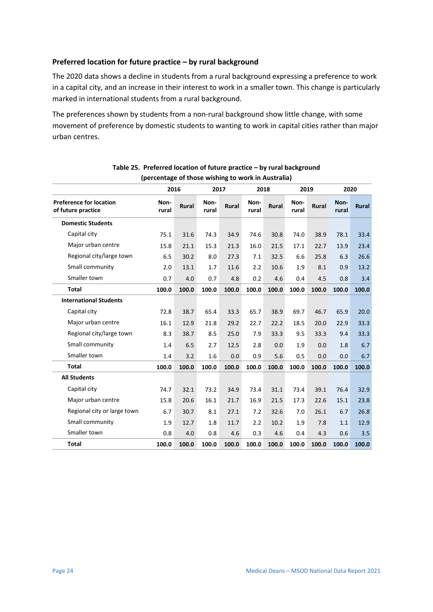#### **Preferred location for future practice – by rural background**

The 2020 data shows a decline in students from a rural background expressing a preference to work in a capital city, and an increase in their interest to work in a smaller town. This change is particularly marked in international students from a rural background.

The preferences shown by students from a non-rural background show little change, with some movement of preference by domestic students to wanting to work in capital cities rather than major urban centres.

<span id="page-24-0"></span>

|                                                      | percentage of those wishing to work in Australia) |              |               |              |               |              |               |              |               |              |
|------------------------------------------------------|---------------------------------------------------|--------------|---------------|--------------|---------------|--------------|---------------|--------------|---------------|--------------|
|                                                      | 2016                                              |              | 2017          |              | 2018          |              | 2019          |              | 2020          |              |
| <b>Preference for location</b><br>of future practice | Non-<br>rural                                     | <b>Rural</b> | Non-<br>rural | <b>Rural</b> | Non-<br>rural | <b>Rural</b> | Non-<br>rural | <b>Rural</b> | Non-<br>rural | <b>Rural</b> |
| <b>Domestic Students</b>                             |                                                   |              |               |              |               |              |               |              |               |              |
| Capital city                                         | 75.1                                              | 31.6         | 74.3          | 34.9         | 74.6          | 30.8         | 74.0          | 38.9         | 78.1          | 33.4         |
| Major urban centre                                   | 15.8                                              | 21.1         | 15.3          | 21.3         | 16.0          | 21.5         | 17.1          | 22.7         | 13.9          | 23.4         |
| Regional city/large town                             | 6.5                                               | 30.2         | 8.0           | 27.3         | 7.1           | 32.5         | 6.6           | 25.8         | 6.3           | 26.6         |
| Small community                                      | 2.0                                               | 13.1         | 1.7           | 11.6         | 2.2           | 10.6         | 1.9           | 8.1          | 0.9           | 13.2         |
| Smaller town                                         | 0.7                                               | 4.0          | 0.7           | 4.8          | 0.2           | 4.6          | 0.4           | 4.5          | 0.8           | 3.4          |
| <b>Total</b>                                         | 100.0                                             | 100.0        | 100.0         | 100.0        | 100.0         | 100.0        | 100.0         | 100.0        | 100.0         | 100.0        |
| <b>International Students</b>                        |                                                   |              |               |              |               |              |               |              |               |              |
| Capital city                                         | 72.8                                              | 38.7         | 65.4          | 33.3         | 65.7          | 38.9         | 69.7          | 46.7         | 65.9          | 20.0         |
| Major urban centre                                   | 16.1                                              | 12.9         | 21.8          | 29.2         | 22.7          | 22.2         | 18.5          | 20.0         | 22.9          | 33.3         |
| Regional city/large town                             | 8.3                                               | 38.7         | 8.5           | 25.0         | 7.9           | 33.3         | 9.5           | 33.3         | 9.4           | 33.3         |
| Small community                                      | 1.4                                               | 6.5          | 2.7           | 12.5         | 2.8           | 0.0          | 1.9           | 0.0          | 1.8           | 6.7          |
| Smaller town                                         | 1.4                                               | 3.2          | 1.6           | 0.0          | 0.9           | 5.6          | 0.5           | 0.0          | 0.0           | 6.7          |
| <b>Total</b>                                         | 100.0                                             | 100.0        | 100.0         | 100.0        | 100.0         | 100.0        | 100.0         | 100.0        | 100.0         | 100.0        |
| <b>All Students</b>                                  |                                                   |              |               |              |               |              |               |              |               |              |
| Capital city                                         | 74.7                                              | 32.1         | 73.2          | 34.9         | 73.4          | 31.1         | 73.4          | 39.1         | 76.4          | 32.9         |
| Major urban centre                                   | 15.8                                              | 20.6         | 16.1          | 21.7         | 16.9          | 21.5         | 17.3          | 22.6         | 15.1          | 23.8         |
| Regional city or large town                          | 6.7                                               | 30.7         | 8.1           | 27.1         | 7.2           | 32.6         | 7.0           | 26.1         | 6.7           | 26.8         |
| Small community                                      | 1.9                                               | 12.7         | 1.8           | 11.7         | 2.2           | 10.2         | 1.9           | 7.8          | 1.1           | 12.9         |
| Smaller town                                         | 0.8                                               | 4.0          | 0.8           | 4.6          | 0.3           | 4.6          | 0.4           | 4.3          | 0.6           | 3.5          |
| <b>Total</b>                                         | 100.0                                             | 100.0        | 100.0         | 100.0        | 100.0         | 100.0        | 100.0         | 100.0        | 100.0         | 100.0        |

| Table 25. Preferred location of future practice – by rural background |  |
|-----------------------------------------------------------------------|--|
| (percentage of those wishing to work in Australia)                    |  |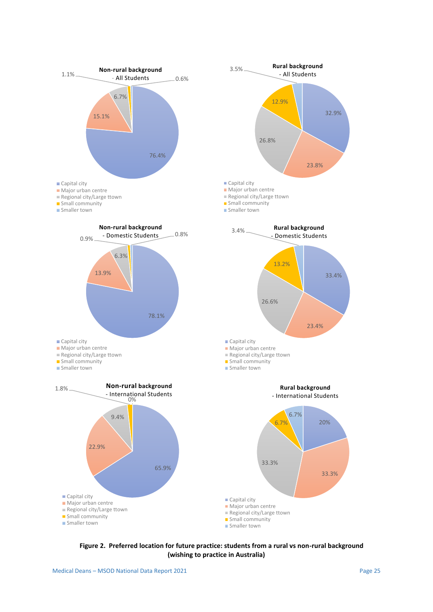

<span id="page-25-0"></span>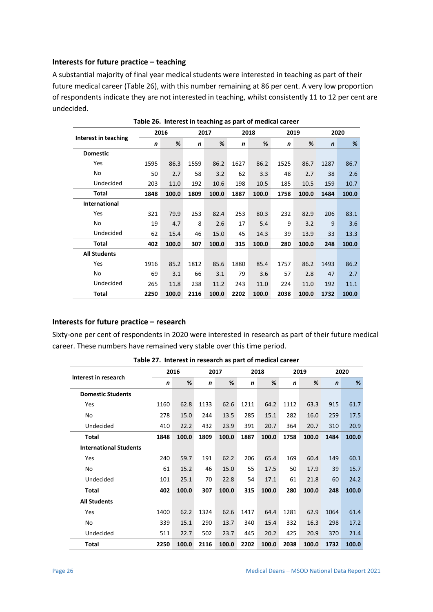#### **Interests for future practice – teaching**

A substantial majority of final year medical students were interested in teaching as part of their future medical career [\(Table 26\)](#page-26-0), with this number remaining at 86 per cent. A very low proportion of respondents indicate they are not interested in teaching, whilst consistently 11 to 12 per cent are undecided.

<span id="page-26-0"></span>

|                      |      | 2016  |      | 2017  |      | 2018  | 2019 |       |             | 2020  |
|----------------------|------|-------|------|-------|------|-------|------|-------|-------------|-------|
| Interest in teaching | n    | %     | n    | %     | n    | %     | n    | %     | $\mathbf n$ | %     |
| <b>Domestic</b>      |      |       |      |       |      |       |      |       |             |       |
| Yes                  | 1595 | 86.3  | 1559 | 86.2  | 1627 | 86.2  | 1525 | 86.7  | 1287        | 86.7  |
| No                   | 50   | 2.7   | 58   | 3.2   | 62   | 3.3   | 48   | 2.7   | 38          | 2.6   |
| Undecided            | 203  | 11.0  | 192  | 10.6  | 198  | 10.5  | 185  | 10.5  | 159         | 10.7  |
| Total                | 1848 | 100.0 | 1809 | 100.0 | 1887 | 100.0 | 1758 | 100.0 | 1484        | 100.0 |
| <b>International</b> |      |       |      |       |      |       |      |       |             |       |
| Yes                  | 321  | 79.9  | 253  | 82.4  | 253  | 80.3  | 232  | 82.9  | 206         | 83.1  |
| No                   | 19   | 4.7   | 8    | 2.6   | 17   | 5.4   | 9    | 3.2   | 9           | 3.6   |
| Undecided            | 62   | 15.4  | 46   | 15.0  | 45   | 14.3  | 39   | 13.9  | 33          | 13.3  |
| Total                | 402  | 100.0 | 307  | 100.0 | 315  | 100.0 | 280  | 100.0 | 248         | 100.0 |
| <b>All Students</b>  |      |       |      |       |      |       |      |       |             |       |
| Yes                  | 1916 | 85.2  | 1812 | 85.6  | 1880 | 85.4  | 1757 | 86.2  | 1493        | 86.2  |
| No                   | 69   | 3.1   | 66   | 3.1   | 79   | 3.6   | 57   | 2.8   | 47          | 2.7   |
| Undecided            | 265  | 11.8  | 238  | 11.2  | 243  | 11.0  | 224  | 11.0  | 192         | 11.1  |
| Total                | 2250 | 100.0 | 2116 | 100.0 | 2202 | 100.0 | 2038 | 100.0 | 1732        | 100.0 |

**Table 26. Interest in teaching as part of medical career**

#### **Interests for future practice – research**

Sixty-one per cent of respondents in 2020 were interested in research as part of their future medical career. These numbers have remained very stable over this time period.

<span id="page-26-1"></span>

|                               |             | 2016  |             | 2017  |             | 2018  |             | 2019  |             | 2020  |
|-------------------------------|-------------|-------|-------------|-------|-------------|-------|-------------|-------|-------------|-------|
| Interest in research          | $\mathbf n$ | %     | $\mathbf n$ | %     | $\mathbf n$ | %     | $\mathbf n$ | %     | $\mathbf n$ | %     |
| <b>Domestic Students</b>      |             |       |             |       |             |       |             |       |             |       |
| Yes                           | 1160        | 62.8  | 1133        | 62.6  | 1211        | 64.2  | 1112        | 63.3  | 915         | 61.7  |
| No                            | 278         | 15.0  | 244         | 13.5  | 285         | 15.1  | 282         | 16.0  | 259         | 17.5  |
| Undecided                     | 410         | 22.2  | 432         | 23.9  | 391         | 20.7  | 364         | 20.7  | 310         | 20.9  |
| Total                         | 1848        | 100.0 | 1809        | 100.0 | 1887        | 100.0 | 1758        | 100.0 | 1484        | 100.0 |
| <b>International Students</b> |             |       |             |       |             |       |             |       |             |       |
| <b>Yes</b>                    | 240         | 59.7  | 191         | 62.2  | 206         | 65.4  | 169         | 60.4  | 149         | 60.1  |
| No                            | 61          | 15.2  | 46          | 15.0  | 55          | 17.5  | 50          | 17.9  | 39          | 15.7  |
| Undecided                     | 101         | 25.1  | 70          | 22.8  | 54          | 17.1  | 61          | 21.8  | 60          | 24.2  |
| Total                         | 402         | 100.0 | 307         | 100.0 | 315         | 100.0 | 280         | 100.0 | 248         | 100.0 |
| <b>All Students</b>           |             |       |             |       |             |       |             |       |             |       |
| <b>Yes</b>                    | 1400        | 62.2  | 1324        | 62.6  | 1417        | 64.4  | 1281        | 62.9  | 1064        | 61.4  |
| No                            | 339         | 15.1  | 290         | 13.7  | 340         | 15.4  | 332         | 16.3  | 298         | 17.2  |
| Undecided                     | 511         | 22.7  | 502         | 23.7  | 445         | 20.2  | 425         | 20.9  | 370         | 21.4  |
| Total                         | 2250        | 100.0 | 2116        | 100.0 | 2202        | 100.0 | 2038        | 100.0 | 1732        | 100.0 |

**Table 27. Interest in research as part of medical career**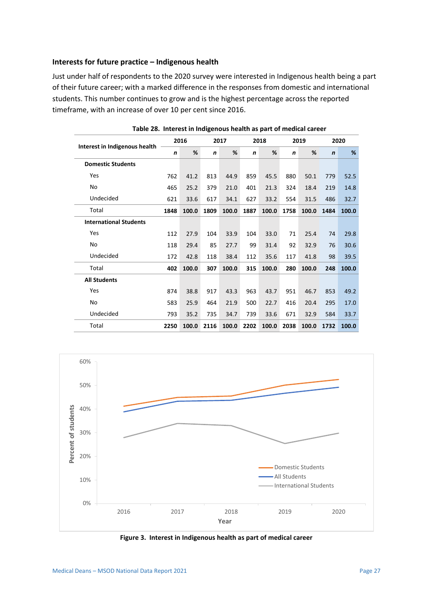#### **Interests for future practice – Indigenous health**

Just under half of respondents to the 2020 survey were interested in Indigenous health being a part of their future career; with a marked difference in the responses from domestic and international students. This number continues to grow and is the highest percentage across the reported timeframe, with an increase of over 10 per cent since 2016.

<span id="page-27-0"></span>

| Interest in Indigenous health | 2016 |       |      | 2017  |      | 2018  |      | 2019  |              | 2020  |
|-------------------------------|------|-------|------|-------|------|-------|------|-------|--------------|-------|
|                               | n    | %     | n    | %     | n    | %     | n    | %     | $\mathsf{n}$ | %     |
| <b>Domestic Students</b>      |      |       |      |       |      |       |      |       |              |       |
| Yes                           | 762  | 41.2  | 813  | 44.9  | 859  | 45.5  | 880  | 50.1  | 779          | 52.5  |
| No                            | 465  | 25.2  | 379  | 21.0  | 401  | 21.3  | 324  | 18.4  | 219          | 14.8  |
| Undecided                     | 621  | 33.6  | 617  | 34.1  | 627  | 33.2  | 554  | 31.5  | 486          | 32.7  |
| Total                         | 1848 | 100.0 | 1809 | 100.0 | 1887 | 100.0 | 1758 | 100.0 | 1484         | 100.0 |
| <b>International Students</b> |      |       |      |       |      |       |      |       |              |       |
| Yes                           | 112  | 27.9  | 104  | 33.9  | 104  | 33.0  | 71   | 25.4  | 74           | 29.8  |
| No                            | 118  | 29.4  | 85   | 27.7  | 99   | 31.4  | 92   | 32.9  | 76           | 30.6  |
| Undecided                     | 172  | 42.8  | 118  | 38.4  | 112  | 35.6  | 117  | 41.8  | 98           | 39.5  |
| Total                         | 402  | 100.0 | 307  | 100.0 | 315  | 100.0 | 280  | 100.0 | 248          | 100.0 |
| <b>All Students</b>           |      |       |      |       |      |       |      |       |              |       |
| Yes                           | 874  | 38.8  | 917  | 43.3  | 963  | 43.7  | 951  | 46.7  | 853          | 49.2  |
| No                            | 583  | 25.9  | 464  | 21.9  | 500  | 22.7  | 416  | 20.4  | 295          | 17.0  |
| Undecided                     | 793  | 35.2  | 735  | 34.7  | 739  | 33.6  | 671  | 32.9  | 584          | 33.7  |
| Total                         | 2250 | 100.0 | 2116 | 100.0 | 2202 | 100.0 | 2038 | 100.0 | 1732         | 100.0 |

**Table 28. Interest in Indigenous health as part of medical career**



<span id="page-27-1"></span>**Figure 3. Interest in Indigenous health as part of medical career**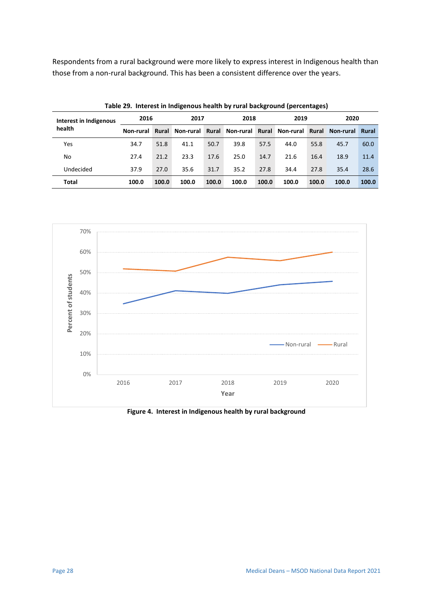Respondents from a rural background were more likely to express interest in Indigenous health than those from a non-rural background. This has been a consistent difference over the years.

<span id="page-28-0"></span>

|                        | $\sim$ , and the state of the contract of the state $\sim$ , and the state $\sim$ , and the state of the state $\sim$ |       |           |       |       |       |       |       |                                                       |       |  |
|------------------------|-----------------------------------------------------------------------------------------------------------------------|-------|-----------|-------|-------|-------|-------|-------|-------------------------------------------------------|-------|--|
| Interest in Indigenous | 2016                                                                                                                  |       | 2017      |       | 2018  |       | 2019  |       | 2020                                                  |       |  |
| health                 | Non-rural                                                                                                             | Rural | Non-rural |       |       |       |       |       | Rural Non-rural Rural Non-rural Rural Non-rural Rural |       |  |
| Yes                    | 34.7                                                                                                                  | 51.8  | 41.1      | 50.7  | 39.8  | 57.5  | 44.0  | 55.8  | 45.7                                                  | 60.0  |  |
| No                     | 27.4                                                                                                                  | 21.2  | 23.3      | 17.6  | 25.0  | 14.7  | 21.6  | 16.4  | 18.9                                                  | 11.4  |  |
| Undecided              | 37.9                                                                                                                  | 27.0  | 35.6      | 31.7  | 35.2  | 27.8  | 34.4  | 27.8  | 35.4                                                  | 28.6  |  |
| Total                  | 100.0                                                                                                                 | 100.0 | 100.0     | 100.0 | 100.0 | 100.0 | 100.0 | 100.0 | 100.0                                                 | 100.0 |  |

**Table 29. Interest in Indigenous health by rural background (percentages)**



**Figure 4. Interest in Indigenous health by rural background**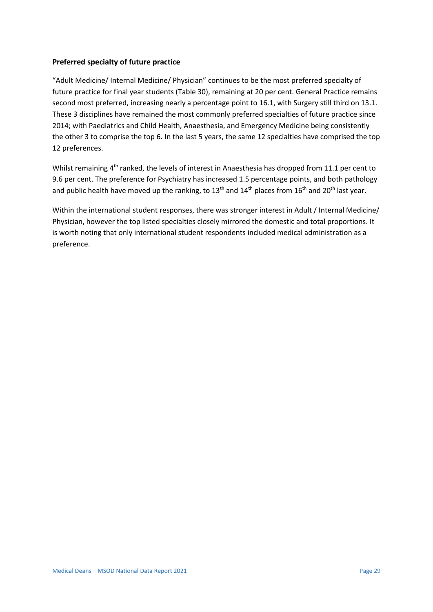#### **Preferred specialty of future practice**

"Adult Medicine/ Internal Medicine/ Physician" continues to be the most preferred specialty of future practice for final year students [\(Table 30\)](#page-30-0), remaining at 20 per cent. General Practice remains second most preferred, increasing nearly a percentage point to 16.1, with Surgery still third on 13.1. These 3 disciplines have remained the most commonly preferred specialties of future practice since 2014; with Paediatrics and Child Health, Anaesthesia, and Emergency Medicine being consistently the other 3 to comprise the top 6. In the last 5 years, the same 12 specialties have comprised the top 12 preferences.

Whilst remaining 4<sup>th</sup> ranked, the levels of interest in Anaesthesia has dropped from 11.1 per cent to 9.6 per cent. The preference for Psychiatry has increased 1.5 percentage points, and both pathology and public health have moved up the ranking, to  $13<sup>th</sup>$  and  $14<sup>th</sup>$  places from  $16<sup>th</sup>$  and  $20<sup>th</sup>$  last year.

Within the international student responses, there was stronger interest in Adult / Internal Medicine/ Physician, however the top listed specialties closely mirrored the domestic and total proportions. It is worth noting that only international student respondents included medical administration as a preference.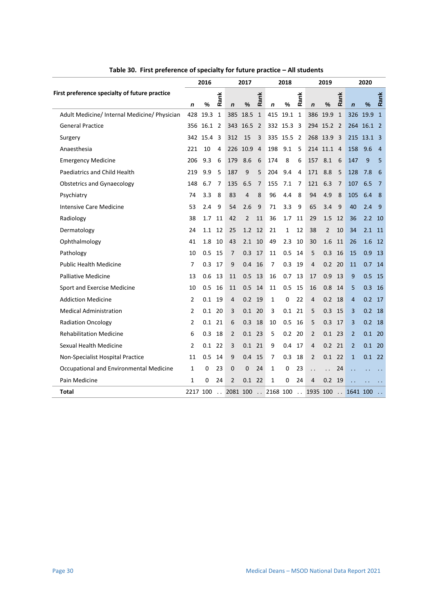<span id="page-30-0"></span>

|                                               | 2016     |      |                      | 2017           |                   |                | 2018              |          |      | 2019                 |                      |              | 2020                 |               |              |
|-----------------------------------------------|----------|------|----------------------|----------------|-------------------|----------------|-------------------|----------|------|----------------------|----------------------|--------------|----------------------|---------------|--------------|
| First preference specialty of future practice | n        | %    | Rank                 | $\mathbf n$    | %                 | Rank           | $\mathbf n$       | %        | Rank | $\mathbf n$          | $\frac{9}{6}$        | Rank         | $\mathbf n$          | $\frac{9}{6}$ | Rank         |
| Adult Medicine/ Internal Medicine/ Physician  | 428      | 19.3 | 1                    | 385            | 18.5              | $\mathbf{1}$   | 415               | 19.1     | 1    | 386                  | 19.9                 | $\mathbf{1}$ | 326                  | 19.9          | $\mathbf{1}$ |
| <b>General Practice</b>                       | 356      | 16.1 | 2                    | 343            | 16.5 <sup>2</sup> |                |                   | 332 15.3 | -3   |                      | 294 15.2 2           |              |                      | 264 16.1 2    |              |
| Surgery                                       | 342      | 15.4 | 3                    | 312            | 15                | 3              |                   | 335 15.5 | 2    | 268                  | 13.9                 | -3           | 215                  | 13.1 3        |              |
| Anaesthesia                                   | 221      | 10   | 4                    |                | 226 10.9          | $\overline{4}$ | 198               | 9.1      | 5    |                      | 214 11.1 4           |              | 158                  | 9.6           | 4            |
| <b>Emergency Medicine</b>                     | 206      | 9.3  | 6                    | 179            | 8.6               | 6              | 174               | 8        | 6    | 157                  | 8.1                  | 6            | 147                  | 9             | 5            |
| Paediatrics and Child Health                  | 219      | 9.9  | 5                    | 187            | 9                 | 5              | 204               | 9.4      | 4    | 171                  | 8.8                  | 5            | 128                  | 7.8           | 6            |
| <b>Obstetrics and Gynaecology</b>             | 148      | 6.7  | 7                    | 135            | 6.5               | 7              | 155               | 7.1      | 7    | 121                  | 6.3                  | 7            | 107                  | 6.5           | 7            |
| Psychiatry                                    | 74       | 3.3  | 8                    | 83             | 4                 | 8              | 96                | 4.4      | 8    | 94                   | 4.9                  | 8            | 105                  | 6.4           | 8            |
| Intensive Care Medicine                       | 53       | 2.4  | 9                    | 54             | 2.6               | 9              | 71                | 3.3      | 9    | 65                   | 3.4                  | 9            | 40                   | 2.4           | 9            |
| Radiology                                     | 38       | 1.7  | 11                   | 42             | $\overline{2}$    | 11             | 36                | 1.7      | 11   | 29                   | 1.5                  | 12           | 36                   | 2.2           | 10           |
| Dermatology                                   | 24       | 1.1  | 12                   | 25             | 1.2               | 12             | 21                | 1        | 12   | 38                   | $\overline{2}$       | 10           | 34                   | 2.1           | 11           |
| Ophthalmology                                 | 41       | 1.8  | 10                   | 43             | 2.1               | 10             | 49                | 2.3      | 10   | 30                   | 1.6                  | 11           | 26                   | 1.6           | 12           |
| Pathology                                     | 10       | 0.5  | 15                   | 7              | 0.3               | 17             | 11                | 0.5      | 14   | 5                    | 0.3                  | 16           | 15                   | 0.9           | 13           |
| <b>Public Health Medicine</b>                 | 7        | 0.3  | 17                   | 9              | 0.4               | 16             | 7                 | 0.3      | 19   | 4                    | 0.2                  | 20           | 11                   | 0.7           | 14           |
| <b>Palliative Medicine</b>                    | 13       | 0.6  | 13                   | 11             | 0.5               | 13             | 16                | 0.7      | 13   | 17                   | 0.9                  | 13           | 9                    | 0.5           | 15           |
| Sport and Exercise Medicine                   | 10       | 0.5  | 16                   | 11             | 0.5               | 14             | 11                | 0.5      | 15   | 16                   | 0.8                  | 14           | 5                    | 0.3           | 16           |
| <b>Addiction Medicine</b>                     | 2        | 0.1  | 19                   | 4              | 0.2               | 19             | 1                 | 0        | 22   | 4                    | 0.2                  | 18           | $\overline{4}$       | 0.2           | 17           |
| <b>Medical Administration</b>                 | 2        | 0.1  | 20                   | 3              | $0.1$ 20          |                | 3                 | 0.1      | 21   | 5                    | $0.3$ 15             |              | 3                    | 0.2           | -18          |
| <b>Radiation Oncology</b>                     | 2        | 0.1  | 21                   | 6              | 0.3               | -18            | 10                | 0.5      | 16   | 5                    | 0.3                  | 17           | 3                    | 0.2           | -18          |
| <b>Rehabilitation Medicine</b>                | 6        | 0.3  | 18                   | 2              | $0.1$ 23          |                | 5                 | 0.2      | 20   | 2                    | 0.1                  | 23           | $\overline{2}$       | 0.1           | -20          |
| Sexual Health Medicine                        | 2        | 0.1  | 22                   | 3              | $0.1$ 21          |                | 9                 | 0.4      | 17   | 4                    | $0.2$ 21             |              | $\overline{2}$       | 0.1           | - 20         |
| Non-Specialist Hospital Practice              | 11       | 0.5  | 14                   | 9              | 0.4               | 15             | 7                 | 0.3      | 18   | 2                    | 0.1                  | 22           | $\mathbf{1}$         | 0.1           | - 22         |
| Occupational and Environmental Medicine       | 1        | 0    | 23                   | 0              | 0                 | 24             | 1                 | 0        | 23   | $\ddot{\phantom{0}}$ | $\ddot{\phantom{0}}$ | 24           | $\ddot{\phantom{0}}$ |               |              |
| Pain Medicine                                 | 1        | 0    | 24                   | $\overline{2}$ | $0.1$ 22          |                | $\mathbf{1}$      | 0        | 24   | $\overline{4}$       | $0.2$ 19             |              | $\sim$ .             |               |              |
| Total                                         | 2217 100 |      | $\ddot{\phantom{a}}$ | 2081 100       |                   |                | $\ldots$ 2168 100 |          |      | $\ldots$ 1935 100    |                      |              | $\ldots$ 1641 100    |               |              |

**Table 30. First preference of specialty for future practice – All students**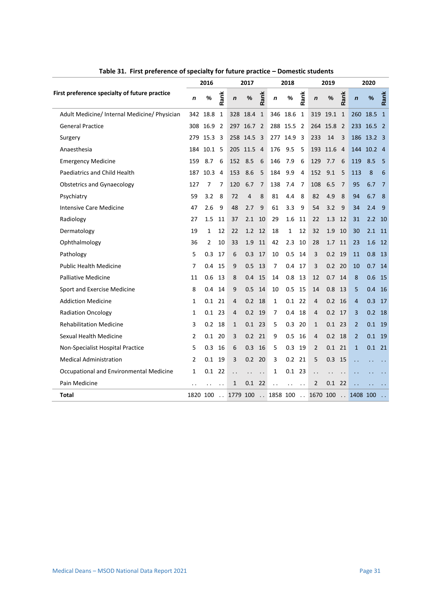<span id="page-31-0"></span>

|                                               |          | 2016 |                |                      | 2017       |                      |                      | 2018                 |      |                | 2019     |                |                  | 2020           |              |
|-----------------------------------------------|----------|------|----------------|----------------------|------------|----------------------|----------------------|----------------------|------|----------------|----------|----------------|------------------|----------------|--------------|
| First preference specialty of future practice | n        | %    | Rank           | $\mathbf n$          | $\%$       | Rank                 | n                    | %                    | Rank | $\mathbf n$    | %        | Rank           | $\boldsymbol{n}$ | %              | Rank         |
| Adult Medicine/ Internal Medicine/ Physician  | 342      | 18.8 | 1              | 328                  | 18.4       | $\mathbf{1}$         | 346                  | 18.6                 | 1    | 319            | 19.1 1   |                | 260              | 18.5           | $\mathbf{1}$ |
| <b>General Practice</b>                       | 308      | 16.9 | $\overline{2}$ |                      | 297 16.7 2 |                      | 288 15.5             |                      | 2    | 264            | 15.8     | $\overline{2}$ |                  | 233 16.5 2     |              |
| Surgery                                       | 279      | 15.3 | 3              |                      | 258 14.5   | - 3                  | 277                  | 14.9                 | 3    | 233            | 14       | 3              |                  | 186 13.2 3     |              |
| Anaesthesia                                   | 184      | 10.1 | 5              |                      | 205 11.5   | $\overline{4}$       | 176                  | 9.5                  | 5    | 193            | 11.6     | $\overline{4}$ | 144              | $10.2 \quad 4$ |              |
| <b>Emergency Medicine</b>                     | 159      | 8.7  | 6              | 152                  | 8.5        | 6                    | 146                  | 7.9                  | 6    | 129            | 7.7      | 6              | 119              | 8.5            | 5            |
| Paediatrics and Child Health                  | 187      | 10.3 | 4              | 153                  | 8.6        | 5                    | 184                  | 9.9                  | 4    | 152            | 9.1      | 5              | 113              | 8              | 6            |
| <b>Obstetrics and Gynaecology</b>             | 127      | 7    | 7              | 120                  | 6.7        | 7                    | 138                  | 7.4                  | 7    | 108            | 6.5      | 7              | 95               | 6.7            | 7            |
| Psychiatry                                    | 59       | 3.2  | 8              | 72                   | 4          | 8                    | 81                   | 4.4                  | 8    | 82             | 4.9      | 8              | 94               | 6.7            | 8            |
| <b>Intensive Care Medicine</b>                | 47       | 2.6  | 9              | 48                   | 2.7        | 9                    | 61                   | 3.3                  | 9    | 54             | 3.2      | 9              | 34               | 2.4            | 9            |
| Radiology                                     | 27       | 1.5  | 11             | 37                   | 2.1        | 10                   | 29                   | 1.6                  | 11   | 22             | 1.3      | 12             | 31               | 2.2            | 10           |
| Dermatology                                   | 19       | 1    | 12             | 22                   | 1.2 12     |                      | 18                   | 1                    | 12   | 32             | 1.9      | 10             | 30               | 2.1            | - 11         |
| Ophthalmology                                 | 36       | 2    | 10             | 33                   | 1.9        | 11                   | 42                   | 2.3                  | 10   | 28             | 1.7      | 11             | 23               | 1.6            | 12           |
| Pathology                                     | 5        | 0.3  | 17             | 6                    | 0.3        | 17                   | 10                   | 0.5                  | 14   | 3              | 0.2      | 19             | 11               | 0.8            | -13          |
| <b>Public Health Medicine</b>                 | 7        | 0.4  | 15             | 9                    | 0.5        | -13                  | 7                    | 0.4                  | 17   | 3              | $0.2$ 20 |                | 10               | 0.7            | 14           |
| <b>Palliative Medicine</b>                    | 11       | 0.6  | 13             | 8                    | 0.4        | -15                  | 14                   | 0.8                  | 13   | 12             | 0.7      | - 14           | 8                | 0.6            | -15          |
| Sport and Exercise Medicine                   | 8        | 0.4  | 14             | 9                    | 0.5        | -14                  | 10                   | 0.5                  | 15   | 14             | 0.8      | 13             | 5                | 0.4            | -16          |
| <b>Addiction Medicine</b>                     | 1        | 0.1  | 21             | 4                    | 0.2        | 18                   | 1                    | 0.1                  | 22   | 4              | 0.2      | 16             | 4                | 0.3            | 17           |
| <b>Radiation Oncology</b>                     | 1        | 0.1  | 23             | 4                    | $0.2$ 19   |                      | 7                    | 0.4                  | 18   | 4              | $0.2$ 17 |                | 3                | 0.2            | -18          |
| <b>Rehabilitation Medicine</b>                | 3        | 0.2  | 18             | $\mathbf{1}$         | $0.1$ 23   |                      | 5                    | 0.3                  | 20   | $\mathbf{1}$   | $0.1$ 23 |                | $\overline{2}$   | 0.1            | 19           |
| Sexual Health Medicine                        | 2        | 0.1  | 20             | 3                    | 0.2        | 21                   | 9                    | 0.5                  | 16   | 4              | 0.2      | 18             | $\overline{2}$   | 0.1            | -19          |
| Non-Specialist Hospital Practice              | 5        | 0.3  | 16             | 6                    | 0.3        | 16                   | 5                    | 0.3                  | 19   | $\overline{2}$ | $0.1$ 21 |                | $\mathbf{1}$     | 0.1            | - 21         |
| <b>Medical Administration</b>                 | 2        | 0.1  | 19             | 3                    | $0.2$ 20   |                      | 3                    | 0.2                  | 21   | 5              | 0.3      | 15             | . .              |                |              |
| Occupational and Environmental Medicine       | 1        | 0.1  | 22             | $\ddot{\phantom{0}}$ | . .        | $\ddot{\phantom{0}}$ | 1                    | 0.1                  | -23  | $\ddotsc$      |          |                |                  |                |              |
| Pain Medicine                                 |          |      |                | $\mathbf{1}$         | 0.1        | -22                  | $\ddot{\phantom{0}}$ | $\ddot{\phantom{0}}$ |      | $\overline{2}$ | 0.1      | 22             |                  |                |              |
| Total                                         | 1820 100 |      |                | $.1779$ 100          |            |                      | $.1858$ 100          |                      |      | . . 1670 100   |          |                | 1408 100         |                |              |

**Table 31. First preference of specialty for future practice – Domestic students**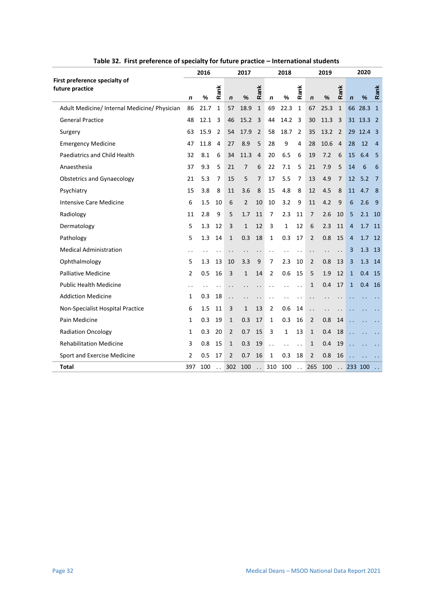<span id="page-32-0"></span>

|                                                  | 2016 |      |                      | 2017                 |                |                      | 2018                 |      |                      | 2019                 |      |              | 2020                 |                      |                      |
|--------------------------------------------------|------|------|----------------------|----------------------|----------------|----------------------|----------------------|------|----------------------|----------------------|------|--------------|----------------------|----------------------|----------------------|
| First preference specialty of<br>future practice | n    | %    | Rank                 | $\mathbf n$          | %              | Rank                 | n                    | %    | Rank                 | $\mathbf n$          | %    | Rank         | $\mathbf n$          | %                    | Rank                 |
| Adult Medicine/ Internal Medicine/ Physician     | 86   | 21.7 | $\mathbf{1}$         | 57                   | 18.9           | $\mathbf{1}$         | 69                   | 22.3 | $\mathbf{1}$         | 67                   | 25.3 | $\mathbf{1}$ | 66                   | 28.3                 | $\mathbf{1}$         |
| <b>General Practice</b>                          | 48   | 12.1 | 3                    | 46                   | 15.2           | 3                    | 44                   | 14.2 | 3                    | 30                   | 11.3 | 3            |                      | 31 13.3              | $\overline{2}$       |
| Surgery                                          | 63   | 15.9 | 2                    | 54                   | 17.9           | 2                    | 58                   | 18.7 | $\overline{2}$       | 35                   | 13.2 | 2            | 29                   | 12.4                 | -3                   |
| <b>Emergency Medicine</b>                        | 47   | 11.8 | 4                    | 27                   | 8.9            | 5                    | 28                   | 9    | 4                    | 28                   | 10.6 | 4            | 28                   | 12                   | $\overline{4}$       |
| <b>Paediatrics and Child Health</b>              | 32   | 8.1  | 6                    | 34                   | 11.3           | $\overline{4}$       | 20                   | 6.5  | 6                    | 19                   | 7.2  | 6            | 15                   | 6.4                  | 5                    |
| Anaesthesia                                      | 37   | 9.3  | 5                    | 21                   | 7              | 6                    | 22                   | 7.1  | 5                    | 21                   | 7.9  | 5            | 14                   | 6                    | 6                    |
| <b>Obstetrics and Gynaecology</b>                | 21   | 5.3  | 7                    | 15                   | 5              | 7                    | 17                   | 5.5  | 7                    | 13                   | 4.9  | 7            | 12                   | 5.2                  | 7                    |
| Psychiatry                                       | 15   | 3.8  | 8                    | 11                   | 3.6            | 8                    | 15                   | 4.8  | 8                    | 12                   | 4.5  | 8            | 11                   | 4.7                  | 8                    |
| <b>Intensive Care Medicine</b>                   | 6    | 1.5  | 10                   | 6                    | $\overline{2}$ | 10                   | 10                   | 3.2  | 9                    | 11                   | 4.2  | 9            | 6                    | 2.6                  | 9                    |
| Radiology                                        | 11   | 2.8  | 9                    | 5                    | 1.7            | 11                   | 7                    | 2.3  | 11                   | 7                    | 2.6  | 10           | 5                    | 2.1                  | 10                   |
| Dermatology                                      | 5    | 1.3  | 12                   | 3                    | $\mathbf{1}$   | 12                   | 3                    | 1    | 12                   | 6                    | 2.3  | 11           | $\overline{4}$       | 1.7                  | 11                   |
| Pathology                                        | 5    | 1.3  | 14                   | $\mathbf{1}$         | 0.3            | 18                   | 1                    | 0.3  | 17                   | 2                    | 0.8  | 15           | $\overline{4}$       | 1.7                  | 12                   |
| <b>Medical Administration</b>                    | . .  |      | . .                  | $\ddot{\phantom{0}}$ | $\cdot$ .      | . .                  | $\ddot{\phantom{0}}$ |      | $\ddot{\phantom{a}}$ | $\cdot$ .            |      |              | 3                    | 1.3                  | 13                   |
| Ophthalmology                                    | 5    | 1.3  | 13                   | 10                   | 3.3            | 9                    | 7                    | 2.3  | 10                   | 2                    | 0.8  | 13           | 3                    | 1.3                  | 14                   |
| <b>Palliative Medicine</b>                       | 2    | 0.5  | 16                   | 3                    | $\mathbf{1}$   | 14                   | 2                    | 0.6  | 15                   | 5                    | 1.9  | 12           | $\mathbf{1}$         | 0.4                  | -15                  |
| <b>Public Health Medicine</b>                    |      |      |                      | $\ddot{\phantom{0}}$ |                |                      | . .                  |      | $\ddot{\phantom{0}}$ | 1                    | 0.4  | 17           | $\mathbf{1}$         | 0.4                  | 16                   |
| <b>Addiction Medicine</b>                        | 1    | 0.3  | 18                   | $\ddot{\phantom{0}}$ |                |                      |                      |      |                      |                      |      |              |                      |                      |                      |
| Non-Specialist Hospital Practice                 | 6    | 1.5  | 11                   | 3                    | $\mathbf{1}$   | 13                   | 2                    | 0.6  | 14                   | $\ddot{\phantom{0}}$ |      |              |                      |                      |                      |
| Pain Medicine                                    | 1    | 0.3  | 19                   | $\mathbf{1}$         | 0.3            | 17                   | 1                    | 0.3  | 16                   | 2                    | 0.8  | 14           |                      |                      |                      |
| <b>Radiation Oncology</b>                        | 1    | 0.3  | 20                   | $\overline{2}$       | 0.7            | 15                   | 3                    | 1    | 13                   | 1                    | 0.4  | 18           | $\mathbf{r}$         |                      | $\ddot{\phantom{0}}$ |
| <b>Rehabilitation Medicine</b>                   | 3    | 0.8  | 15                   | 1                    | 0.3            | 19                   | $\ddot{\phantom{0}}$ |      | $\ddot{\phantom{0}}$ | 1                    | 0.4  | 19           |                      |                      |                      |
| Sport and Exercise Medicine                      | 2    | 0.5  | 17                   | $\overline{2}$       | 0.7            | 16                   | 1                    | 0.3  | 18                   | $\overline{2}$       | 0.8  | 16           | $\ddot{\phantom{a}}$ | $\ddot{\phantom{0}}$ | $\ddot{\phantom{0}}$ |
| Total                                            | 397  | 100  | $\ddot{\phantom{0}}$ | 302                  | 100            | $\ddot{\phantom{a}}$ | 310                  | 100  | $\ddot{\phantom{a}}$ | 265                  | 100  |              |                      | 233 100              |                      |

**Table 32. First preference of specialty for future practice – International students**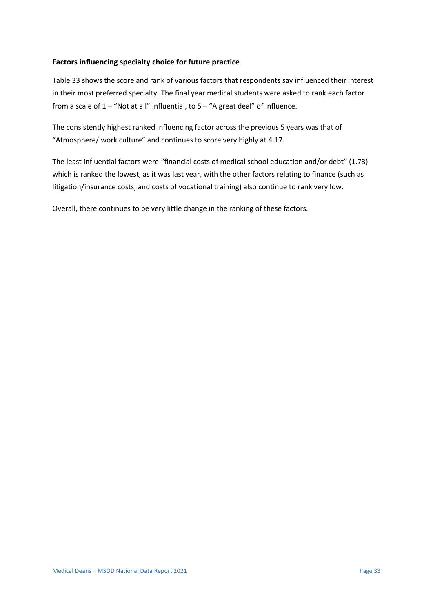#### **Factors influencing specialty choice for future practice**

Table 33 shows the score and rank of various factors that respondents say influenced their interest in their most preferred specialty. The final year medical students were asked to rank each factor from a scale of  $1 -$  "Not at all" influential, to  $5 -$  "A great deal" of influence.

The consistently highest ranked influencing factor across the previous 5 years was that of "Atmosphere/ work culture" and continues to score very highly at 4.17.

The least influential factors were "financial costs of medical school education and/or debt" (1.73) which is ranked the lowest, as it was last year, with the other factors relating to finance (such as litigation/insurance costs, and costs of vocational training) also continue to rank very low.

Overall, there continues to be very little change in the ranking of these factors.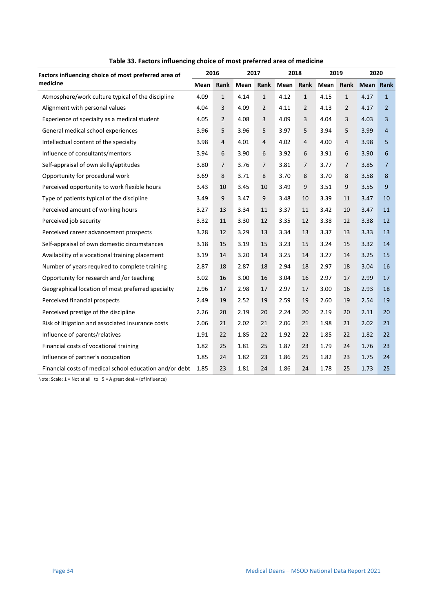<span id="page-34-0"></span>

| Factors influencing choice of most preferred area of    |      | 2016           |      | 2017           | 2018 |                | 2019 |                | 2020      |                |
|---------------------------------------------------------|------|----------------|------|----------------|------|----------------|------|----------------|-----------|----------------|
| medicine                                                | Mean | Rank           | Mean | Rank           | Mean | Rank           | Mean | Rank           | Mean Rank |                |
| Atmosphere/work culture typical of the discipline       | 4.09 | $\mathbf{1}$   | 4.14 | $\mathbf{1}$   | 4.12 | $\mathbf{1}$   | 4.15 | $\mathbf{1}$   | 4.17      | $\mathbf{1}$   |
| Alignment with personal values                          | 4.04 | 3              | 4.09 | $\overline{2}$ | 4.11 | $\overline{2}$ | 4.13 | $\overline{2}$ | 4.17      | $\overline{2}$ |
| Experience of specialty as a medical student            | 4.05 | $\overline{2}$ | 4.08 | 3              | 4.09 | 3              | 4.04 | 3              | 4.03      | 3              |
| General medical school experiences                      | 3.96 | 5              | 3.96 | 5              | 3.97 | 5              | 3.94 | 5              | 3.99      | $\overline{4}$ |
| Intellectual content of the specialty                   | 3.98 | $\overline{4}$ | 4.01 | $\overline{4}$ | 4.02 | $\overline{4}$ | 4.00 | $\overline{4}$ | 3.98      | 5              |
| Influence of consultants/mentors                        | 3.94 | 6              | 3.90 | 6              | 3.92 | 6              | 3.91 | 6              | 3.90      | 6              |
| Self-appraisal of own skills/aptitudes                  | 3.80 | $\overline{7}$ | 3.76 | $\overline{7}$ | 3.81 | $\overline{7}$ | 3.77 | 7              | 3.85      | 7              |
| Opportunity for procedural work                         | 3.69 | 8              | 3.71 | 8              | 3.70 | 8              | 3.70 | 8              | 3.58      | 8              |
| Perceived opportunity to work flexible hours            | 3.43 | 10             | 3.45 | 10             | 3.49 | 9              | 3.51 | 9              | 3.55      | 9              |
| Type of patients typical of the discipline              | 3.49 | 9              | 3.47 | 9              | 3.48 | 10             | 3.39 | 11             | 3.47      | 10             |
| Perceived amount of working hours                       | 3.27 | 13             | 3.34 | 11             | 3.37 | 11             | 3.42 | 10             | 3.47      | 11             |
| Perceived job security                                  | 3.32 | 11             | 3.30 | 12             | 3.35 | 12             | 3.38 | 12             | 3.38      | 12             |
| Perceived career advancement prospects                  | 3.28 | 12             | 3.29 | 13             | 3.34 | 13             | 3.37 | 13             | 3.33      | 13             |
| Self-appraisal of own domestic circumstances            | 3.18 | 15             | 3.19 | 15             | 3.23 | 15             | 3.24 | 15             | 3.32      | 14             |
| Availability of a vocational training placement         | 3.19 | 14             | 3.20 | 14             | 3.25 | 14             | 3.27 | 14             | 3.25      | 15             |
| Number of years required to complete training           | 2.87 | 18             | 2.87 | 18             | 2.94 | 18             | 2.97 | 18             | 3.04      | 16             |
| Opportunity for research and /or teaching               | 3.02 | 16             | 3.00 | 16             | 3.04 | 16             | 2.97 | 17             | 2.99      | 17             |
| Geographical location of most preferred specialty       | 2.96 | 17             | 2.98 | 17             | 2.97 | 17             | 3.00 | 16             | 2.93      | 18             |
| Perceived financial prospects                           | 2.49 | 19             | 2.52 | 19             | 2.59 | 19             | 2.60 | 19             | 2.54      | 19             |
| Perceived prestige of the discipline                    | 2.26 | 20             | 2.19 | 20             | 2.24 | 20             | 2.19 | 20             | 2.11      | 20             |
| Risk of litigation and associated insurance costs       | 2.06 | 21             | 2.02 | 21             | 2.06 | 21             | 1.98 | 21             | 2.02      | 21             |
| Influence of parents/relatives                          | 1.91 | 22             | 1.85 | 22             | 1.92 | 22             | 1.85 | 22             | 1.82      | 22             |
| Financial costs of vocational training                  | 1.82 | 25             | 1.81 | 25             | 1.87 | 23             | 1.79 | 24             | 1.76      | 23             |
| Influence of partner's occupation                       | 1.85 | 24             | 1.82 | 23             | 1.86 | 25             | 1.82 | 23             | 1.75      | 24             |
| Financial costs of medical school education and/or debt | 1.85 | 23             | 1.81 | 24             | 1.86 | 24             | 1.78 | 25             | 1.73      | 25             |

**Table 33. Factors influencing choice of most preferred area of medicine**

Note: Scale: 1 = Not at all to 5 = A great deal.= (of influence)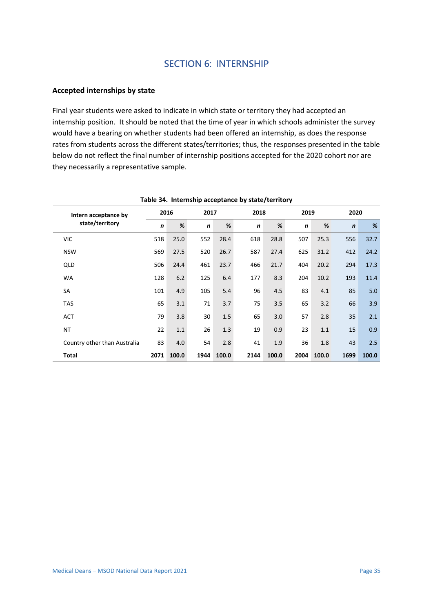#### **Accepted internships by state**

Final year students were asked to indicate in which state or territory they had accepted an internship position. It should be noted that the time of year in which schools administer the survey would have a bearing on whether students had been offered an internship, as does the response rates from students across the different states/territories; thus, the responses presented in the table below do not reflect the final number of internship positions accepted for the 2020 cohort nor are they necessarily a representative sample.

<span id="page-35-0"></span>

| Intern acceptance by         |                  | 2016  | 2017             |       | 2018             |       | 2019             |       | 2020        |       |
|------------------------------|------------------|-------|------------------|-------|------------------|-------|------------------|-------|-------------|-------|
| state/territory              | $\boldsymbol{n}$ | %     | $\boldsymbol{n}$ | %     | $\boldsymbol{n}$ | %     | $\boldsymbol{n}$ | %     | $\mathbf n$ | %     |
| <b>VIC</b>                   | 518              | 25.0  | 552              | 28.4  | 618              | 28.8  | 507              | 25.3  | 556         | 32.7  |
| <b>NSW</b>                   | 569              | 27.5  | 520              | 26.7  | 587              | 27.4  | 625              | 31.2  | 412         | 24.2  |
| QLD                          | 506              | 24.4  | 461              | 23.7  | 466              | 21.7  | 404              | 20.2  | 294         | 17.3  |
| <b>WA</b>                    | 128              | 6.2   | 125              | 6.4   | 177              | 8.3   | 204              | 10.2  | 193         | 11.4  |
| SA                           | 101              | 4.9   | 105              | 5.4   | 96               | 4.5   | 83               | 4.1   | 85          | 5.0   |
| <b>TAS</b>                   | 65               | 3.1   | 71               | 3.7   | 75               | 3.5   | 65               | 3.2   | 66          | 3.9   |
| <b>ACT</b>                   | 79               | 3.8   | 30               | 1.5   | 65               | 3.0   | 57               | 2.8   | 35          | 2.1   |
| <b>NT</b>                    | 22               | 1.1   | 26               | 1.3   | 19               | 0.9   | 23               | 1.1   | 15          | 0.9   |
| Country other than Australia | 83               | 4.0   | 54               | 2.8   | 41               | 1.9   | 36               | 1.8   | 43          | 2.5   |
| <b>Total</b>                 | 2071             | 100.0 | 1944             | 100.0 | 2144             | 100.0 | 2004             | 100.0 | 1699        | 100.0 |

#### **Table 34. Internship acceptance by state/territory**